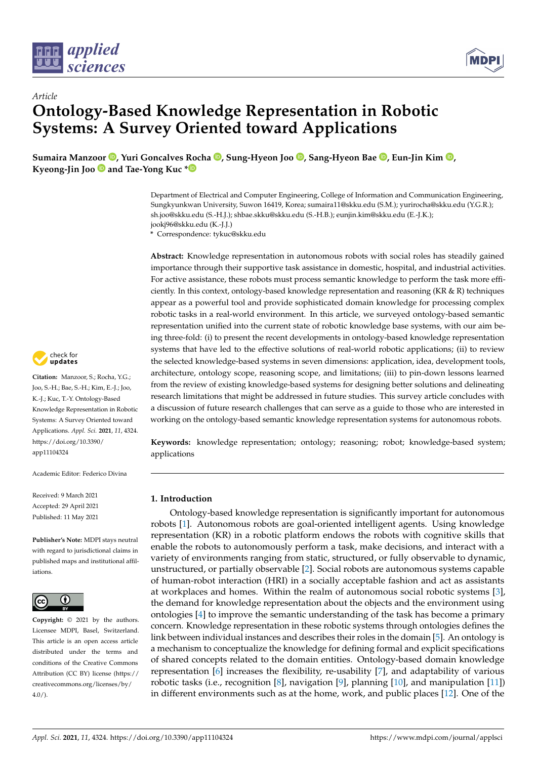

*Article*



# **Ontology-Based Knowledge Representation in Robotic Systems: A Survey Oriented toward Applications**

**Sumaira Manz[oor](https://orcid.org/0000-0001-8023-1682) [,](https://orcid.org/0000-0001-5512-7824) Yuri Goncalves Rocha [,](https://orcid.org/0000-0002-3513-8398) Sung-Hyeon Joo [,](https://orcid.org/0000-0001-7068-2324) Sang-Hyeon Bae [,](https://orcid.org/0000-0002-8447-9252) Eun-Jin Kim [,](https://orcid.org/0000-0002-4157-5316) Kyeong-Jin Joo and Tae-Yong Kuc [\\*](https://orcid.org/0000-0002-5816-0088)**

> Department of Electrical and Computer Engineering, College of Information and Communication Engineering, Sungkyunkwan University, Suwon 16419, Korea; sumaira11@skku.edu (S.M.); yurirocha@skku.edu (Y.G.R.); sh.joo@skku.edu (S.-H.J.); shbae.skku@skku.edu (S.-H.B.); eunjin.kim@skku.edu (E.-J.K.); jookj96@skku.edu (K.-J.J.)

**\*** Correspondence: tykuc@skku.edu

**Abstract:** Knowledge representation in autonomous robots with social roles has steadily gained importance through their supportive task assistance in domestic, hospital, and industrial activities. For active assistance, these robots must process semantic knowledge to perform the task more efficiently. In this context, ontology-based knowledge representation and reasoning (KR & R) techniques appear as a powerful tool and provide sophisticated domain knowledge for processing complex robotic tasks in a real-world environment. In this article, we surveyed ontology-based semantic representation unified into the current state of robotic knowledge base systems, with our aim being three-fold: (i) to present the recent developments in ontology-based knowledge representation systems that have led to the effective solutions of real-world robotic applications; (ii) to review the selected knowledge-based systems in seven dimensions: application, idea, development tools, architecture, ontology scope, reasoning scope, and limitations; (iii) to pin-down lessons learned from the review of existing knowledge-based systems for designing better solutions and delineating research limitations that might be addressed in future studies. This survey article concludes with a discussion of future research challenges that can serve as a guide to those who are interested in working on the ontology-based semantic knowledge representation systems for autonomous robots.

**Keywords:** knowledge representation; ontology; reasoning; robot; knowledge-based system; applications

# **1. Introduction**

Ontology-based knowledge representation is significantly important for autonomous robots [\[1\]](#page-24-0). Autonomous robots are goal-oriented intelligent agents. Using knowledge representation (KR) in a robotic platform endows the robots with cognitive skills that enable the robots to autonomously perform a task, make decisions, and interact with a variety of environments ranging from static, structured, or fully observable to dynamic, unstructured, or partially observable [\[2\]](#page-24-1). Social robots are autonomous systems capable of human-robot interaction (HRI) in a socially acceptable fashion and act as assistants at workplaces and homes. Within the realm of autonomous social robotic systems [\[3\]](#page-24-2), the demand for knowledge representation about the objects and the environment using ontologies [\[4\]](#page-24-3) to improve the semantic understanding of the task has become a primary concern. Knowledge representation in these robotic systems through ontologies defines the link between individual instances and describes their roles in the domain [\[5\]](#page-24-4). An ontology is a mechanism to conceptualize the knowledge for defining formal and explicit specifications of shared concepts related to the domain entities. Ontology-based domain knowledge representation [\[6\]](#page-24-5) increases the flexibility, re-usability [\[7\]](#page-25-0), and adaptability of various robotic tasks (i.e., recognition [\[8\]](#page-25-1), navigation [\[9\]](#page-25-2), planning [\[10\]](#page-25-3), and manipulation [\[11\]](#page-25-4)) in different environments such as at the home, work, and public places [\[12\]](#page-25-5). One of the



**Citation:** Manzoor, S.; Rocha, Y.G.; Joo, S.-H.; Bae, S.-H.; Kim, E.-J.; Joo, K.-J.; Kuc, T.-Y. Ontology-Based Knowledge Representation in Robotic Systems: A Survey Oriented toward Applications. *Appl. Sci.* **2021**, *11*, 4324. [https://doi.org/10.3390/](https://doi.org/10.3390/app11104324) [app11104324](https://doi.org/10.3390/app11104324)

Academic Editor: Federico Divina

Received: 9 March 2021 Accepted: 29 April 2021 Published: 11 May 2021

**Publisher's Note:** MDPI stays neutral with regard to jurisdictional claims in published maps and institutional affiliations.



**Copyright:** © 2021 by the authors. Licensee MDPI, Basel, Switzerland. This article is an open access article distributed under the terms and conditions of the Creative Commons Attribution (CC BY) license (https:/[/](https://creativecommons.org/licenses/by/4.0/) [creativecommons.org/licenses/by/](https://creativecommons.org/licenses/by/4.0/)  $4.0/$ ).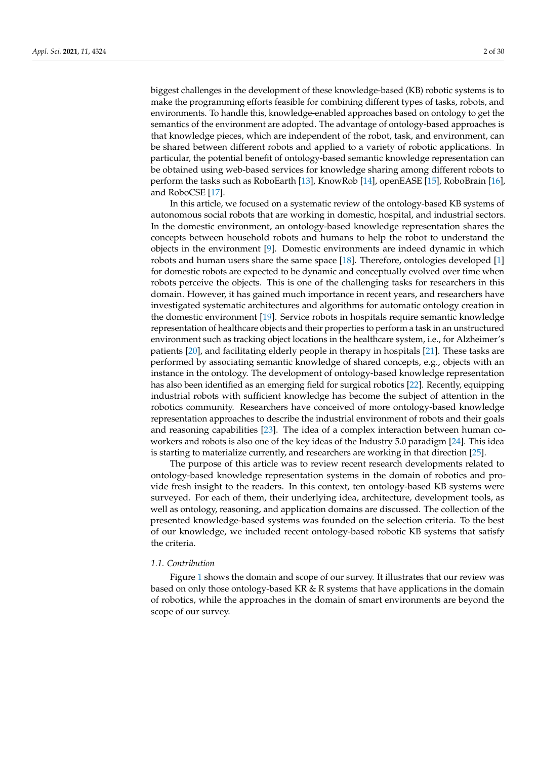biggest challenges in the development of these knowledge-based (KB) robotic systems is to make the programming efforts feasible for combining different types of tasks, robots, and environments. To handle this, knowledge-enabled approaches based on ontology to get the semantics of the environment are adopted. The advantage of ontology-based approaches is that knowledge pieces, which are independent of the robot, task, and environment, can be shared between different robots and applied to a variety of robotic applications. In particular, the potential benefit of ontology-based semantic knowledge representation can be obtained using web-based services for knowledge sharing among different robots to perform the tasks such as RoboEarth [\[13\]](#page-25-6), KnowRob [\[14\]](#page-25-7), openEASE [\[15\]](#page-25-8), RoboBrain [\[16\]](#page-25-9), and RoboCSE [\[17\]](#page-25-10).

In this article, we focused on a systematic review of the ontology-based KB systems of autonomous social robots that are working in domestic, hospital, and industrial sectors. In the domestic environment, an ontology-based knowledge representation shares the concepts between household robots and humans to help the robot to understand the objects in the environment [\[9\]](#page-25-2). Domestic environments are indeed dynamic in which robots and human users share the same space [\[18\]](#page-25-11). Therefore, ontologies developed [\[1\]](#page-24-0) for domestic robots are expected to be dynamic and conceptually evolved over time when robots perceive the objects. This is one of the challenging tasks for researchers in this domain. However, it has gained much importance in recent years, and researchers have investigated systematic architectures and algorithms for automatic ontology creation in the domestic environment [\[19\]](#page-25-12). Service robots in hospitals require semantic knowledge representation of healthcare objects and their properties to perform a task in an unstructured environment such as tracking object locations in the healthcare system, i.e., for Alzheimer's patients [\[20\]](#page-25-13), and facilitating elderly people in therapy in hospitals [\[21\]](#page-25-14). These tasks are performed by associating semantic knowledge of shared concepts, e.g., objects with an instance in the ontology. The development of ontology-based knowledge representation has also been identified as an emerging field for surgical robotics [\[22\]](#page-25-15). Recently, equipping industrial robots with sufficient knowledge has become the subject of attention in the robotics community. Researchers have conceived of more ontology-based knowledge representation approaches to describe the industrial environment of robots and their goals and reasoning capabilities [\[23\]](#page-25-16). The idea of a complex interaction between human coworkers and robots is also one of the key ideas of the Industry 5.0 paradigm [\[24\]](#page-25-17). This idea is starting to materialize currently, and researchers are working in that direction [\[25\]](#page-25-18).

The purpose of this article was to review recent research developments related to ontology-based knowledge representation systems in the domain of robotics and provide fresh insight to the readers. In this context, ten ontology-based KB systems were surveyed. For each of them, their underlying idea, architecture, development tools, as well as ontology, reasoning, and application domains are discussed. The collection of the presented knowledge-based systems was founded on the selection criteria. To the best of our knowledge, we included recent ontology-based robotic KB systems that satisfy the criteria.

## *1.1. Contribution*

Figure [1](#page-2-0) shows the domain and scope of our survey. It illustrates that our review was based on only those ontology-based KR & R systems that have applications in the domain of robotics, while the approaches in the domain of smart environments are beyond the scope of our survey.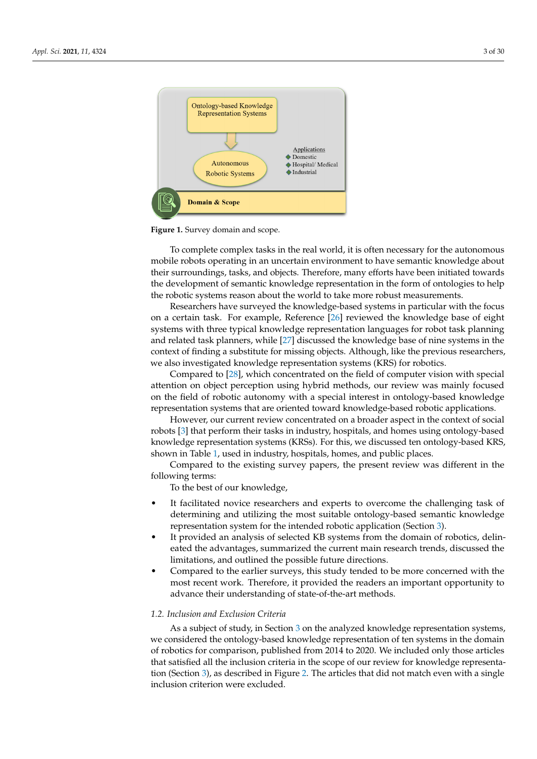<span id="page-2-0"></span>

**Figure 1.** Survey domain and scope.

To complete complex tasks in the real world, it is often necessary for the autonomous mobile robots operating in an uncertain environment to have semantic knowledge about their surroundings, tasks, and objects. Therefore, many efforts have been initiated towards the development of semantic knowledge representation in the form of ontologies to help the robotic systems reason about the world to take more robust measurements.

Researchers have surveyed the knowledge-based systems in particular with the focus on a certain task. For example, Reference [\[26\]](#page-25-19) reviewed the knowledge base of eight systems with three typical knowledge representation languages for robot task planning and related task planners, while [\[27\]](#page-25-20) discussed the knowledge base of nine systems in the context of finding a substitute for missing objects. Although, like the previous researchers, we also investigated knowledge representation systems (KRS) for robotics.

Compared to [\[28\]](#page-25-21), which concentrated on the field of computer vision with special attention on object perception using hybrid methods, our review was mainly focused on the field of robotic autonomy with a special interest in ontology-based knowledge representation systems that are oriented toward knowledge-based robotic applications.

However, our current review concentrated on a broader aspect in the context of social robots [\[3\]](#page-24-2) that perform their tasks in industry, hospitals, and homes using ontology-based knowledge representation systems (KRSs). For this, we discussed ten ontology-based KRS, shown in Table [1,](#page-7-0) used in industry, hospitals, homes, and public places.

Compared to the existing survey papers, the present review was different in the following terms:

To the best of our knowledge,

- It facilitated novice researchers and experts to overcome the challenging task of determining and utilizing the most suitable ontology-based semantic knowledge representation system for the intended robotic application (Section [3\)](#page-6-0).
- It provided an analysis of selected KB systems from the domain of robotics, delineated the advantages, summarized the current main research trends, discussed the limitations, and outlined the possible future directions.
- Compared to the earlier surveys, this study tended to be more concerned with the most recent work. Therefore, it provided the readers an important opportunity to advance their understanding of state-of-the-art methods.

#### *1.2. Inclusion and Exclusion Criteria*

As a subject of study, in Section [3](#page-6-0) on the analyzed knowledge representation systems, we considered the ontology-based knowledge representation of ten systems in the domain of robotics for comparison, published from 2014 to 2020. We included only those articles that satisfied all the inclusion criteria in the scope of our review for knowledge representation (Section [3\)](#page-6-0), as described in Figure [2.](#page-3-0) The articles that did not match even with a single inclusion criterion were excluded.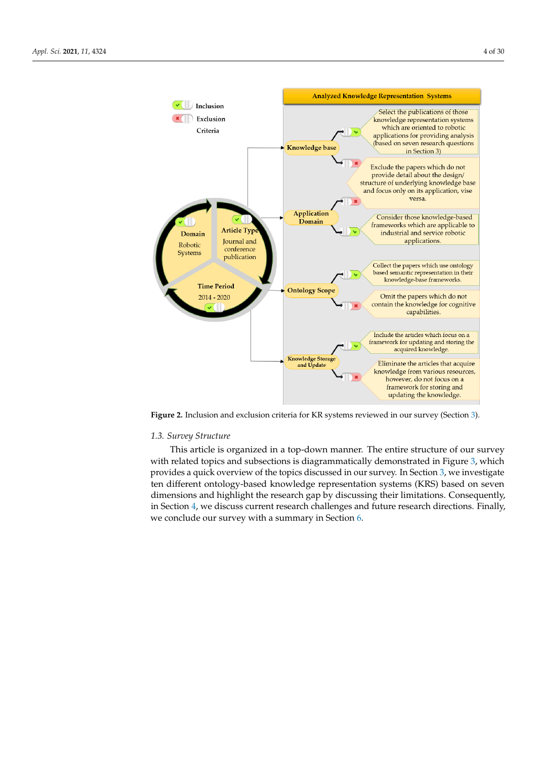<span id="page-3-0"></span>

**Figure 2.** Inclusion and exclusion criteria for KR systems reviewed in our survey (Section [3\)](#page-6-0).

# *1.3. Survey Structure*

This article is organized in a top-down manner. The entire structure of our survey with related topics and subsections is diagrammatically demonstrated in Figure [3,](#page-4-0) which provides a quick overview of the topics discussed in our survey. In Section [3,](#page-6-0) we investigate ten different ontology-based knowledge representation systems (KRS) based on seven dimensions and highlight the research gap by discussing their limitations. Consequently, in Section [4,](#page-22-0) we discuss current research challenges and future research directions. Finally, we conclude our survey with a summary in Section [6.](#page-24-6)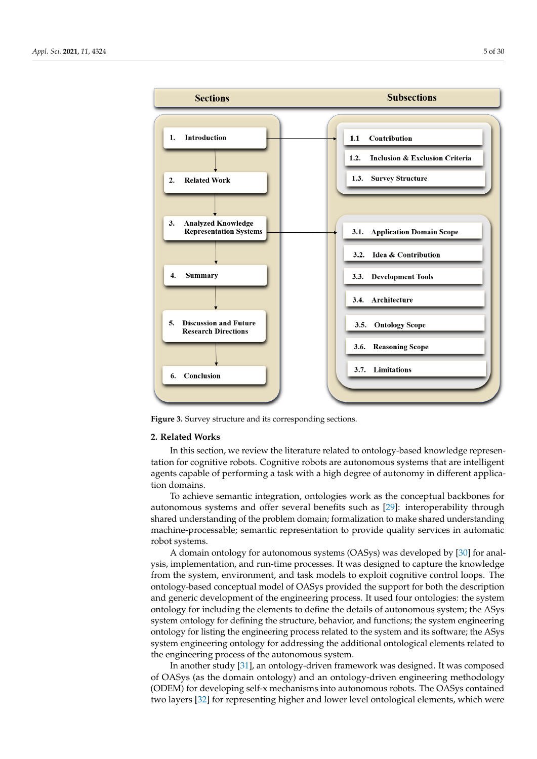<span id="page-4-0"></span>

**Figure 3.** Survey structure and its corresponding sections.

## **2. Related Works**

In this section, we review the literature related to ontology-based knowledge representation for cognitive robots. Cognitive robots are autonomous systems that are intelligent agents capable of performing a task with a high degree of autonomy in different application domains.

To achieve semantic integration, ontologies work as the conceptual backbones for autonomous systems and offer several benefits such as [\[29\]](#page-25-22): interoperability through shared understanding of the problem domain; formalization to make shared understanding machine-processable; semantic representation to provide quality services in automatic robot systems.

A domain ontology for autonomous systems (OASys) was developed by [\[30\]](#page-25-23) for analysis, implementation, and run-time processes. It was designed to capture the knowledge from the system, environment, and task models to exploit cognitive control loops. The ontology-based conceptual model of OASys provided the support for both the description and generic development of the engineering process. It used four ontologies: the system ontology for including the elements to define the details of autonomous system; the ASys system ontology for defining the structure, behavior, and functions; the system engineering ontology for listing the engineering process related to the system and its software; the ASys system engineering ontology for addressing the additional ontological elements related to the engineering process of the autonomous system.

In another study [\[31\]](#page-26-0), an ontology-driven framework was designed. It was composed of OASys (as the domain ontology) and an ontology-driven engineering methodology (ODEM) for developing self-x mechanisms into autonomous robots. The OASys contained two layers [\[32\]](#page-26-1) for representing higher and lower level ontological elements, which were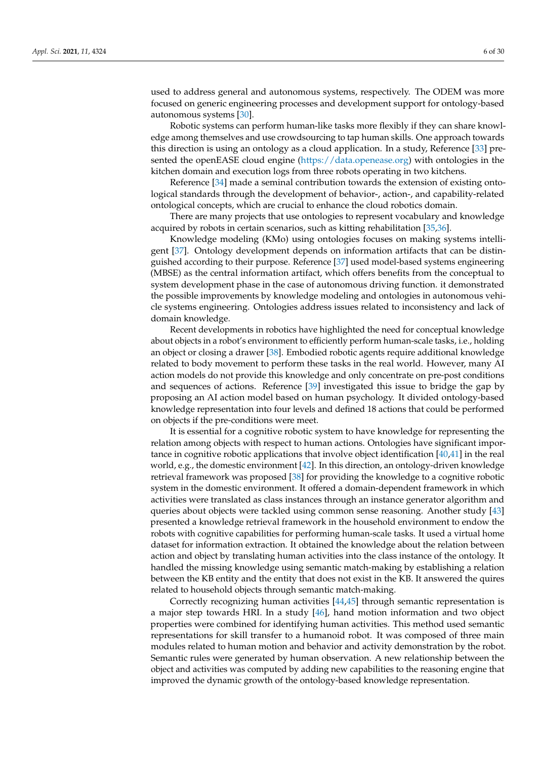used to address general and autonomous systems, respectively. The ODEM was more focused on generic engineering processes and development support for ontology-based autonomous systems [\[30\]](#page-25-23).

Robotic systems can perform human-like tasks more flexibly if they can share knowledge among themselves and use crowdsourcing to tap human skills. One approach towards this direction is using an ontology as a cloud application. In a study, Reference [\[33\]](#page-26-2) presented the openEASE cloud engine [\(https://data.openease.org\)](https://data.openease.org) with ontologies in the kitchen domain and execution logs from three robots operating in two kitchens.

Reference [\[34\]](#page-26-3) made a seminal contribution towards the extension of existing ontological standards through the development of behavior-, action-, and capability-related ontological concepts, which are crucial to enhance the cloud robotics domain.

There are many projects that use ontologies to represent vocabulary and knowledge acquired by robots in certain scenarios, such as kitting rehabilitation [\[35,](#page-26-4)[36\]](#page-26-5).

Knowledge modeling (KMo) using ontologies focuses on making systems intelligent [\[37\]](#page-26-6). Ontology development depends on information artifacts that can be distinguished according to their purpose. Reference [\[37\]](#page-26-6) used model-based systems engineering (MBSE) as the central information artifact, which offers benefits from the conceptual to system development phase in the case of autonomous driving function. it demonstrated the possible improvements by knowledge modeling and ontologies in autonomous vehicle systems engineering. Ontologies address issues related to inconsistency and lack of domain knowledge.

Recent developments in robotics have highlighted the need for conceptual knowledge about objects in a robot's environment to efficiently perform human-scale tasks, i.e., holding an object or closing a drawer [\[38\]](#page-26-7). Embodied robotic agents require additional knowledge related to body movement to perform these tasks in the real world. However, many AI action models do not provide this knowledge and only concentrate on pre-post conditions and sequences of actions. Reference [\[39\]](#page-26-8) investigated this issue to bridge the gap by proposing an AI action model based on human psychology. It divided ontology-based knowledge representation into four levels and defined 18 actions that could be performed on objects if the pre-conditions were meet.

It is essential for a cognitive robotic system to have knowledge for representing the relation among objects with respect to human actions. Ontologies have significant importance in cognitive robotic applications that involve object identification [\[40](#page-26-9)[,41\]](#page-26-10) in the real world, e.g., the domestic environment [\[42\]](#page-26-11). In this direction, an ontology-driven knowledge retrieval framework was proposed [\[38\]](#page-26-7) for providing the knowledge to a cognitive robotic system in the domestic environment. It offered a domain-dependent framework in which activities were translated as class instances through an instance generator algorithm and queries about objects were tackled using common sense reasoning. Another study [\[43\]](#page-26-12) presented a knowledge retrieval framework in the household environment to endow the robots with cognitive capabilities for performing human-scale tasks. It used a virtual home dataset for information extraction. It obtained the knowledge about the relation between action and object by translating human activities into the class instance of the ontology. It handled the missing knowledge using semantic match-making by establishing a relation between the KB entity and the entity that does not exist in the KB. It answered the quires related to household objects through semantic match-making.

Correctly recognizing human activities [\[44](#page-26-13)[,45\]](#page-26-14) through semantic representation is a major step towards HRI. In a study [\[46\]](#page-26-15), hand motion information and two object properties were combined for identifying human activities. This method used semantic representations for skill transfer to a humanoid robot. It was composed of three main modules related to human motion and behavior and activity demonstration by the robot. Semantic rules were generated by human observation. A new relationship between the object and activities was computed by adding new capabilities to the reasoning engine that improved the dynamic growth of the ontology-based knowledge representation.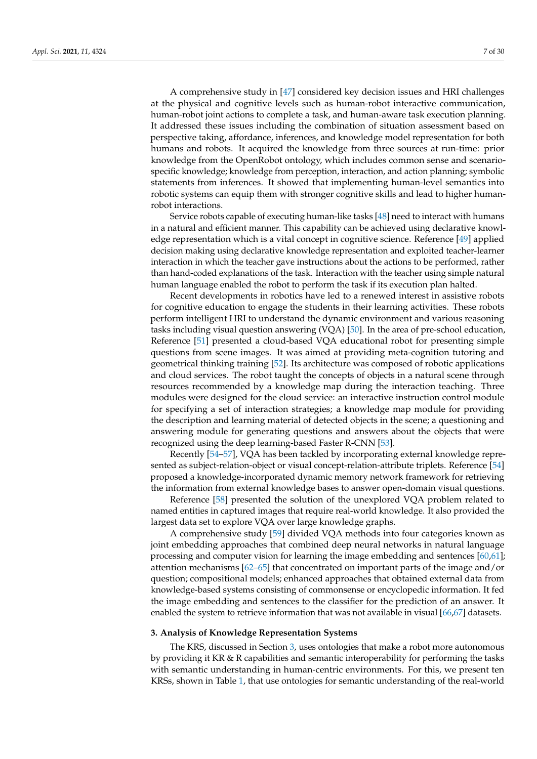A comprehensive study in [\[47\]](#page-26-16) considered key decision issues and HRI challenges at the physical and cognitive levels such as human-robot interactive communication, human-robot joint actions to complete a task, and human-aware task execution planning. It addressed these issues including the combination of situation assessment based on perspective taking, affordance, inferences, and knowledge model representation for both humans and robots. It acquired the knowledge from three sources at run-time: prior knowledge from the OpenRobot ontology, which includes common sense and scenariospecific knowledge; knowledge from perception, interaction, and action planning; symbolic statements from inferences. It showed that implementing human-level semantics into robotic systems can equip them with stronger cognitive skills and lead to higher humanrobot interactions.

Service robots capable of executing human-like tasks [\[48\]](#page-26-17) need to interact with humans in a natural and efficient manner. This capability can be achieved using declarative knowledge representation which is a vital concept in cognitive science. Reference [\[49\]](#page-26-18) applied decision making using declarative knowledge representation and exploited teacher-learner interaction in which the teacher gave instructions about the actions to be performed, rather than hand-coded explanations of the task. Interaction with the teacher using simple natural human language enabled the robot to perform the task if its execution plan halted.

Recent developments in robotics have led to a renewed interest in assistive robots for cognitive education to engage the students in their learning activities. These robots perform intelligent HRI to understand the dynamic environment and various reasoning tasks including visual question answering (VQA) [\[50\]](#page-26-19). In the area of pre-school education, Reference [\[51\]](#page-26-20) presented a cloud-based VQA educational robot for presenting simple questions from scene images. It was aimed at providing meta-cognition tutoring and geometrical thinking training [\[52\]](#page-26-21). Its architecture was composed of robotic applications and cloud services. The robot taught the concepts of objects in a natural scene through resources recommended by a knowledge map during the interaction teaching. Three modules were designed for the cloud service: an interactive instruction control module for specifying a set of interaction strategies; a knowledge map module for providing the description and learning material of detected objects in the scene; a questioning and answering module for generating questions and answers about the objects that were recognized using the deep learning-based Faster R-CNN [\[53\]](#page-26-22).

Recently [\[54–](#page-27-0)[57\]](#page-27-1), VQA has been tackled by incorporating external knowledge represented as subject-relation-object or visual concept-relation-attribute triplets. Reference [\[54\]](#page-27-0) proposed a knowledge-incorporated dynamic memory network framework for retrieving the information from external knowledge bases to answer open-domain visual questions.

Reference [\[58\]](#page-27-2) presented the solution of the unexplored VQA problem related to named entities in captured images that require real-world knowledge. It also provided the largest data set to explore VQA over large knowledge graphs.

A comprehensive study [\[59\]](#page-27-3) divided VQA methods into four categories known as joint embedding approaches that combined deep neural networks in natural language processing and computer vision for learning the image embedding and sentences [\[60,](#page-27-4)[61\]](#page-27-5); attention mechanisms [\[62](#page-27-6)[–65\]](#page-27-7) that concentrated on important parts of the image and/or question; compositional models; enhanced approaches that obtained external data from knowledge-based systems consisting of commonsense or encyclopedic information. It fed the image embedding and sentences to the classifier for the prediction of an answer. It enabled the system to retrieve information that was not available in visual [\[66](#page-27-8)[,67\]](#page-27-9) datasets.

# <span id="page-6-0"></span>**3. Analysis of Knowledge Representation Systems**

The KRS, discussed in Section [3,](#page-6-0) uses ontologies that make a robot more autonomous by providing it KR  $\&$  R capabilities and semantic interoperability for performing the tasks with semantic understanding in human-centric environments. For this, we present ten KRSs, shown in Table [1,](#page-7-0) that use ontologies for semantic understanding of the real-world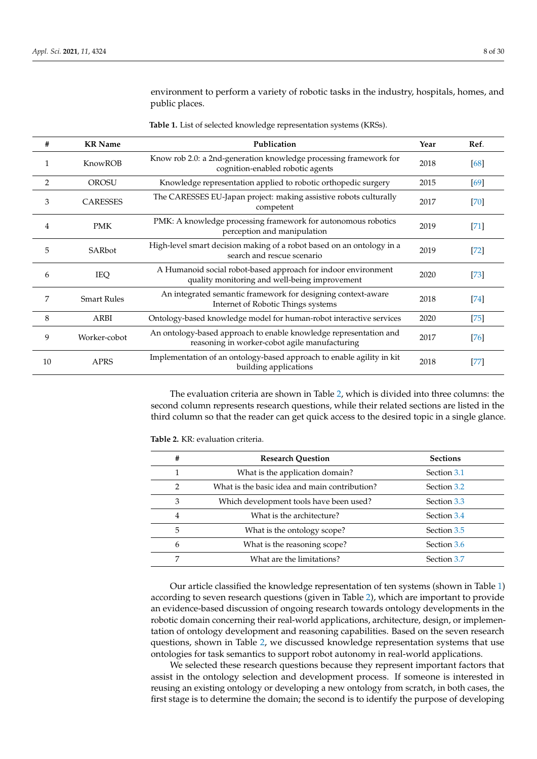environment to perform a variety of robotic tasks in the industry, hospitals, homes, and public places.

|  | Table 1. List of selected knowledge representation systems (KRSs). |
|--|--------------------------------------------------------------------|
|--|--------------------------------------------------------------------|

<span id="page-7-0"></span>

| #  | <b>KR</b> Name     | Publication                                                                                                        | Year | Ref.   |
|----|--------------------|--------------------------------------------------------------------------------------------------------------------|------|--------|
|    |                    |                                                                                                                    |      |        |
| 1  | KnowROB            | Know rob 2.0: a 2nd-generation knowledge processing framework for<br>cognition-enabled robotic agents              | 2018 | [68]   |
| 2  | <b>OROSU</b>       | Knowledge representation applied to robotic orthopedic surgery                                                     | 2015 | [69]   |
| 3  | <b>CARESSES</b>    | The CARESSES EU-Japan project: making assistive robots culturally<br>competent                                     | 2017 | $[70]$ |
| 4  | <b>PMK</b>         | PMK: A knowledge processing framework for autonomous robotics<br>perception and manipulation                       | 2019 | $[71]$ |
| 5  | SARbot             | High-level smart decision making of a robot based on an ontology in a<br>search and rescue scenario                | 2019 | $[72]$ |
| 6  | IEQ                | A Humanoid social robot-based approach for indoor environment<br>quality monitoring and well-being improvement     | 2020 | $[73]$ |
| 7  | <b>Smart Rules</b> | An integrated semantic framework for designing context-aware<br>Internet of Robotic Things systems                 | 2018 | $[74]$ |
| 8  | ARBI               | Ontology-based knowledge model for human-robot interactive services                                                | 2020 | $[75]$ |
| 9  | Worker-cobot       | An ontology-based approach to enable knowledge representation and<br>reasoning in worker-cobot agile manufacturing | 2017 | $[76]$ |
| 10 | <b>APRS</b>        | Implementation of an ontology-based approach to enable agility in kit<br>building applications                     | 2018 | $[77]$ |

The evaluation criteria are shown in Table [2,](#page-7-1) which is divided into three columns: the second column represents research questions, while their related sections are listed in the third column so that the reader can get quick access to the desired topic in a single glance.

<span id="page-7-1"></span>**Table 2.** KR: evaluation criteria.

| #              | <b>Research Question</b>                      | <b>Sections</b> |
|----------------|-----------------------------------------------|-----------------|
|                | What is the application domain?               | Section 3.1     |
| $\mathcal{P}$  | What is the basic idea and main contribution? | Section 3.2     |
| 3              | Which development tools have been used?       | Section 3.3     |
| $\overline{4}$ | What is the architecture?                     | Section 3.4     |
| 5              | What is the ontology scope?                   | Section 3.5     |
| 6              | What is the reasoning scope?                  | Section 3.6     |
| 7              | What are the limitations?                     | Section 3.7     |

Our article classified the knowledge representation of ten systems (shown in Table [1\)](#page-7-0) according to seven research questions (given in Table [2\)](#page-7-1), which are important to provide an evidence-based discussion of ongoing research towards ontology developments in the robotic domain concerning their real-world applications, architecture, design, or implementation of ontology development and reasoning capabilities. Based on the seven research questions, shown in Table [2,](#page-7-1) we discussed knowledge representation systems that use ontologies for task semantics to support robot autonomy in real-world applications.

We selected these research questions because they represent important factors that assist in the ontology selection and development process. If someone is interested in reusing an existing ontology or developing a new ontology from scratch, in both cases, the first stage is to determine the domain; the second is to identify the purpose of developing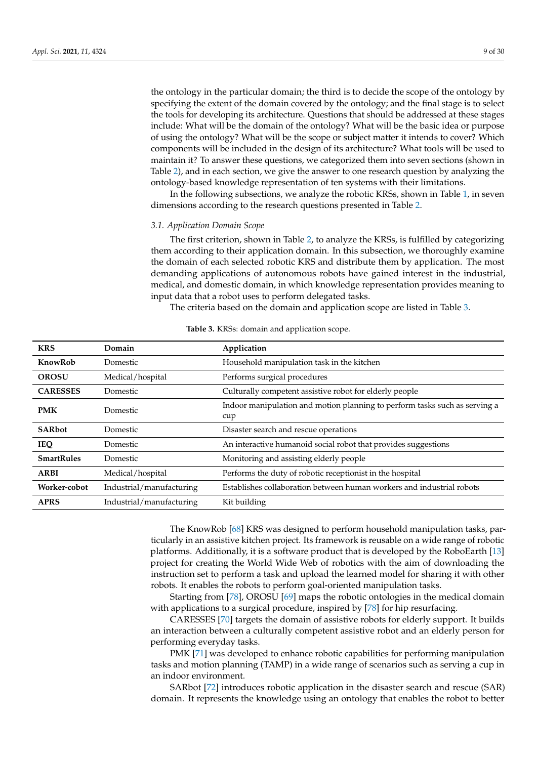the ontology in the particular domain; the third is to decide the scope of the ontology by specifying the extent of the domain covered by the ontology; and the final stage is to select the tools for developing its architecture. Questions that should be addressed at these stages include: What will be the domain of the ontology? What will be the basic idea or purpose of using the ontology? What will be the scope or subject matter it intends to cover? Which components will be included in the design of its architecture? What tools will be used to maintain it? To answer these questions, we categorized them into seven sections (shown in Table [2\)](#page-7-1), and in each section, we give the answer to one research question by analyzing the ontology-based knowledge representation of ten systems with their limitations.

In the following subsections, we analyze the robotic KRSs, shown in Table [1,](#page-7-0) in seven dimensions according to the research questions presented in Table [2.](#page-7-1)

#### <span id="page-8-0"></span>*3.1. Application Domain Scope*

The first criterion, shown in Table [2,](#page-7-1) to analyze the KRSs, is fulfilled by categorizing them according to their application domain. In this subsection, we thoroughly examine the domain of each selected robotic KRS and distribute them by application. The most demanding applications of autonomous robots have gained interest in the industrial, medical, and domestic domain, in which knowledge representation provides meaning to input data that a robot uses to perform delegated tasks.

The criteria based on the domain and application scope are listed in Table [3.](#page-8-1)

<span id="page-8-1"></span>

| <b>KRS</b>                                                               | Domain                                                                     | Application                                                                       |
|--------------------------------------------------------------------------|----------------------------------------------------------------------------|-----------------------------------------------------------------------------------|
| KnowRob                                                                  | Household manipulation task in the kitchen<br>Domestic                     |                                                                                   |
| <b>OROSU</b>                                                             | Medical/hospital<br>Performs surgical procedures                           |                                                                                   |
| <b>CARESSES</b>                                                          | Culturally competent assistive robot for elderly people<br>Domestic        |                                                                                   |
| <b>PMK</b>                                                               | Domestic                                                                   | Indoor manipulation and motion planning to perform tasks such as serving a<br>cup |
| <b>SARbot</b>                                                            | Domestic                                                                   | Disaster search and rescue operations                                             |
| <b>IEQ</b>                                                               | An interactive humanoid social robot that provides suggestions<br>Domestic |                                                                                   |
| <b>SmartRules</b><br>Monitoring and assisting elderly people<br>Domestic |                                                                            |                                                                                   |
| <b>ARBI</b>                                                              | Medical/hospital                                                           | Performs the duty of robotic receptionist in the hospital                         |
| Worker-cobot                                                             | Industrial/manufacturing                                                   | Establishes collaboration between human workers and industrial robots             |
| <b>APRS</b>                                                              | Industrial/manufacturing                                                   | Kit building                                                                      |

# **Table 3.** KRSs: domain and application scope.

The KnowRob [\[68\]](#page-27-10) KRS was designed to perform household manipulation tasks, particularly in an assistive kitchen project. Its framework is reusable on a wide range of robotic platforms. Additionally, it is a software product that is developed by the RoboEarth [\[13\]](#page-25-6) project for creating the World Wide Web of robotics with the aim of downloading the instruction set to perform a task and upload the learned model for sharing it with other robots. It enables the robots to perform goal-oriented manipulation tasks.

Starting from [\[78\]](#page-27-20), OROSU [\[69\]](#page-27-11) maps the robotic ontologies in the medical domain with applications to a surgical procedure, inspired by [\[78\]](#page-27-20) for hip resurfacing.

CARESSES [\[70\]](#page-27-12) targets the domain of assistive robots for elderly support. It builds an interaction between a culturally competent assistive robot and an elderly person for performing everyday tasks.

PMK [\[71\]](#page-27-13) was developed to enhance robotic capabilities for performing manipulation tasks and motion planning (TAMP) in a wide range of scenarios such as serving a cup in an indoor environment.

SARbot [\[72\]](#page-27-14) introduces robotic application in the disaster search and rescue (SAR) domain. It represents the knowledge using an ontology that enables the robot to better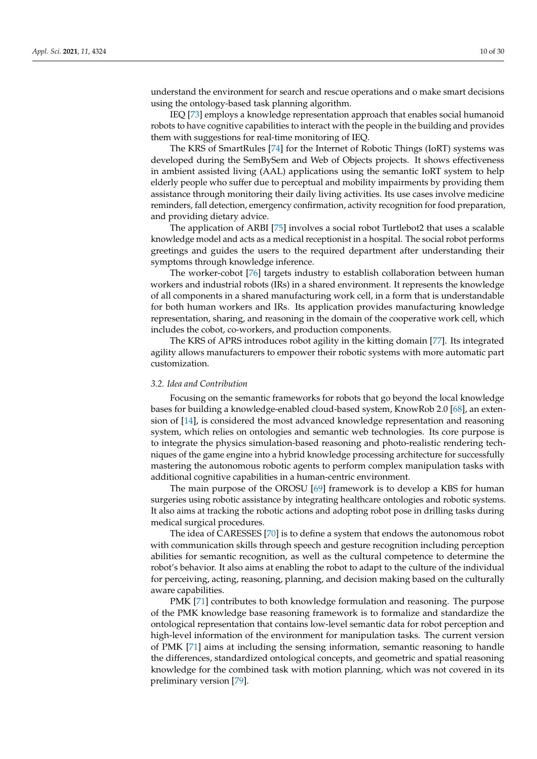understand the environment for search and rescue operations and o make smart decisions using the ontology-based task planning algorithm.

IEQ [\[73\]](#page-27-15) employs a knowledge representation approach that enables social humanoid robots to have cognitive capabilities to interact with the people in the building and provides them with suggestions for real-time monitoring of IEQ.

The KRS of SmartRules [\[74\]](#page-27-16) for the Internet of Robotic Things (IoRT) systems was developed during the SemBySem and Web of Objects projects. It shows effectiveness in ambient assisted living (AAL) applications using the semantic IoRT system to help elderly people who suffer due to perceptual and mobility impairments by providing them assistance through monitoring their daily living activities. Its use cases involve medicine reminders, fall detection, emergency confirmation, activity recognition for food preparation, and providing dietary advice.

The application of ARBI [\[75\]](#page-27-17) involves a social robot Turtlebot2 that uses a scalable knowledge model and acts as a medical receptionist in a hospital. The social robot performs greetings and guides the users to the required department after understanding their symptoms through knowledge inference.

The worker-cobot [\[76\]](#page-27-18) targets industry to establish collaboration between human workers and industrial robots (IRs) in a shared environment. It represents the knowledge of all components in a shared manufacturing work cell, in a form that is understandable for both human workers and IRs. Its application provides manufacturing knowledge representation, sharing, and reasoning in the domain of the cooperative work cell, which includes the cobot, co-workers, and production components.

The KRS of APRS introduces robot agility in the kitting domain [\[77\]](#page-27-19). Its integrated agility allows manufacturers to empower their robotic systems with more automatic part customization.

#### <span id="page-9-0"></span>*3.2. Idea and Contribution*

Focusing on the semantic frameworks for robots that go beyond the local knowledge bases for building a knowledge-enabled cloud-based system, KnowRob 2.0 [\[68\]](#page-27-10), an extension of [\[14\]](#page-25-7), is considered the most advanced knowledge representation and reasoning system, which relies on ontologies and semantic web technologies. Its core purpose is to integrate the physics simulation-based reasoning and photo-realistic rendering techniques of the game engine into a hybrid knowledge processing architecture for successfully mastering the autonomous robotic agents to perform complex manipulation tasks with additional cognitive capabilities in a human-centric environment.

The main purpose of the OROSU [\[69\]](#page-27-11) framework is to develop a KBS for human surgeries using robotic assistance by integrating healthcare ontologies and robotic systems. It also aims at tracking the robotic actions and adopting robot pose in drilling tasks during medical surgical procedures.

The idea of CARESSES [\[70\]](#page-27-12) is to define a system that endows the autonomous robot with communication skills through speech and gesture recognition including perception abilities for semantic recognition, as well as the cultural competence to determine the robot's behavior. It also aims at enabling the robot to adapt to the culture of the individual for perceiving, acting, reasoning, planning, and decision making based on the culturally aware capabilities.

PMK [\[71\]](#page-27-13) contributes to both knowledge formulation and reasoning. The purpose of the PMK knowledge base reasoning framework is to formalize and standardize the ontological representation that contains low-level semantic data for robot perception and high-level information of the environment for manipulation tasks. The current version of PMK [\[71\]](#page-27-13) aims at including the sensing information, semantic reasoning to handle the differences, standardized ontological concepts, and geometric and spatial reasoning knowledge for the combined task with motion planning, which was not covered in its preliminary version [\[79\]](#page-27-21).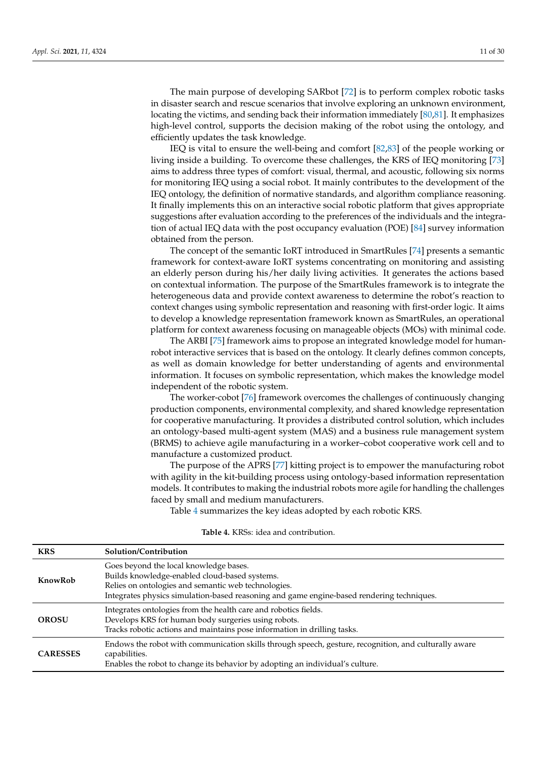The main purpose of developing SARbot [\[72\]](#page-27-14) is to perform complex robotic tasks in disaster search and rescue scenarios that involve exploring an unknown environment, locating the victims, and sending back their information immediately [\[80,](#page-27-22)[81\]](#page-27-23). It emphasizes high-level control, supports the decision making of the robot using the ontology, and efficiently updates the task knowledge.

IEQ is vital to ensure the well-being and comfort [\[82,](#page-28-0)[83\]](#page-28-1) of the people working or living inside a building. To overcome these challenges, the KRS of IEQ monitoring [\[73\]](#page-27-15) aims to address three types of comfort: visual, thermal, and acoustic, following six norms for monitoring IEQ using a social robot. It mainly contributes to the development of the IEQ ontology, the definition of normative standards, and algorithm compliance reasoning. It finally implements this on an interactive social robotic platform that gives appropriate suggestions after evaluation according to the preferences of the individuals and the integration of actual IEQ data with the post occupancy evaluation (POE) [\[84\]](#page-28-2) survey information obtained from the person.

The concept of the semantic IoRT introduced in SmartRules [\[74\]](#page-27-16) presents a semantic framework for context-aware IoRT systems concentrating on monitoring and assisting an elderly person during his/her daily living activities. It generates the actions based on contextual information. The purpose of the SmartRules framework is to integrate the heterogeneous data and provide context awareness to determine the robot's reaction to context changes using symbolic representation and reasoning with first-order logic. It aims to develop a knowledge representation framework known as SmartRules, an operational platform for context awareness focusing on manageable objects (MOs) with minimal code.

The ARBI [\[75\]](#page-27-17) framework aims to propose an integrated knowledge model for humanrobot interactive services that is based on the ontology. It clearly defines common concepts, as well as domain knowledge for better understanding of agents and environmental information. It focuses on symbolic representation, which makes the knowledge model independent of the robotic system.

The worker-cobot [\[76\]](#page-27-18) framework overcomes the challenges of continuously changing production components, environmental complexity, and shared knowledge representation for cooperative manufacturing. It provides a distributed control solution, which includes an ontology-based multi-agent system (MAS) and a business rule management system (BRMS) to achieve agile manufacturing in a worker–cobot cooperative work cell and to manufacture a customized product.

The purpose of the APRS [\[77\]](#page-27-19) kitting project is to empower the manufacturing robot with agility in the kit-building process using ontology-based information representation models. It contributes to making the industrial robots more agile for handling the challenges faced by small and medium manufacturers.

Table [4](#page-10-0) summarizes the key ideas adopted by each robotic KRS.

<span id="page-10-0"></span>

| <b>KRS</b>      | Solution/Contribution                                                                                                                                                                                                                       |
|-----------------|---------------------------------------------------------------------------------------------------------------------------------------------------------------------------------------------------------------------------------------------|
| KnowRob         | Goes beyond the local knowledge bases.<br>Builds knowledge-enabled cloud-based systems.<br>Relies on ontologies and semantic web technologies.<br>Integrates physics simulation-based reasoning and game engine-based rendering techniques. |
| <b>OROSU</b>    | Integrates ontologies from the health care and robotics fields.<br>Develops KRS for human body surgeries using robots.<br>Tracks robotic actions and maintains pose information in drilling tasks.                                          |
| <b>CARESSES</b> | Endows the robot with communication skills through speech, gesture, recognition, and culturally aware<br>capabilities.<br>Enables the robot to change its behavior by adopting an individual's culture.                                     |

## **Table 4.** KRSs: idea and contribution.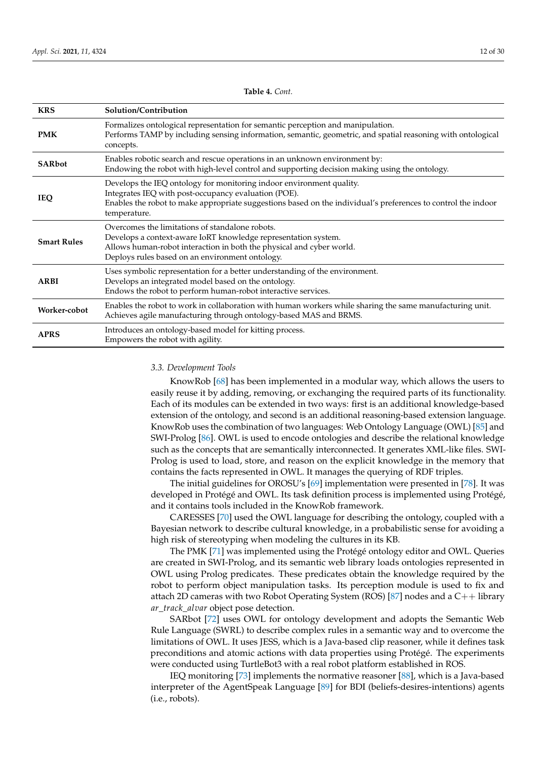| <b>KRS</b>         | Solution/Contribution                                                                                                                                                                                                                                         |
|--------------------|---------------------------------------------------------------------------------------------------------------------------------------------------------------------------------------------------------------------------------------------------------------|
| <b>PMK</b>         | Formalizes ontological representation for semantic perception and manipulation.<br>Performs TAMP by including sensing information, semantic, geometric, and spatial reasoning with ontological<br>concepts.                                                   |
| <b>SARbot</b>      | Enables robotic search and rescue operations in an unknown environment by:<br>Endowing the robot with high-level control and supporting decision making using the ontology.                                                                                   |
| <b>IEQ</b>         | Develops the IEQ ontology for monitoring indoor environment quality.<br>Integrates IEQ with post-occupancy evaluation (POE).<br>Enables the robot to make appropriate suggestions based on the individual's preferences to control the indoor<br>temperature. |
| <b>Smart Rules</b> | Overcomes the limitations of standalone robots.<br>Develops a context-aware IoRT knowledge representation system.<br>Allows human-robot interaction in both the physical and cyber world.<br>Deploys rules based on an environment ontology.                  |
| ARBI               | Uses symbolic representation for a better understanding of the environment.<br>Develops an integrated model based on the ontology.<br>Endows the robot to perform human-robot interactive services.                                                           |
| Worker-cobot       | Enables the robot to work in collaboration with human workers while sharing the same manufacturing unit.<br>Achieves agile manufacturing through ontology-based MAS and BRMS.                                                                                 |
| <b>APRS</b>        | Introduces an ontology-based model for kitting process.<br>Empowers the robot with agility.                                                                                                                                                                   |

# **Table 4.** *Cont.*

#### <span id="page-11-0"></span>*3.3. Development Tools*

KnowRob [\[68\]](#page-27-10) has been implemented in a modular way, which allows the users to easily reuse it by adding, removing, or exchanging the required parts of its functionality. Each of its modules can be extended in two ways: first is an additional knowledge-based extension of the ontology, and second is an additional reasoning-based extension language. KnowRob uses the combination of two languages: Web Ontology Language (OWL) [\[85\]](#page-28-3) and SWI-Prolog [\[86\]](#page-28-4). OWL is used to encode ontologies and describe the relational knowledge such as the concepts that are semantically interconnected. It generates XML-like files. SWI-Prolog is used to load, store, and reason on the explicit knowledge in the memory that contains the facts represented in OWL. It manages the querying of RDF triples.

The initial guidelines for OROSU's [\[69\]](#page-27-11) implementation were presented in [\[78\]](#page-27-20). It was developed in Protégé and OWL. Its task definition process is implemented using Protégé, and it contains tools included in the KnowRob framework.

CARESSES [\[70\]](#page-27-12) used the OWL language for describing the ontology, coupled with a Bayesian network to describe cultural knowledge, in a probabilistic sense for avoiding a high risk of stereotyping when modeling the cultures in its KB.

The PMK [\[71\]](#page-27-13) was implemented using the Protégé ontology editor and OWL. Queries are created in SWI-Prolog, and its semantic web library loads ontologies represented in OWL using Prolog predicates. These predicates obtain the knowledge required by the robot to perform object manipulation tasks. Its perception module is used to fix and attach 2D cameras with two Robot Operating System (ROS) [\[87\]](#page-28-5) nodes and a  $C_{++}$  library *ar*\_*track*\_*alvar* object pose detection.

SARbot [\[72\]](#page-27-14) uses OWL for ontology development and adopts the Semantic Web Rule Language (SWRL) to describe complex rules in a semantic way and to overcome the limitations of OWL. It uses JESS, which is a Java-based clip reasoner, while it defines task preconditions and atomic actions with data properties using Protégé. The experiments were conducted using TurtleBot3 with a real robot platform established in ROS.

IEQ monitoring [\[73\]](#page-27-15) implements the normative reasoner [\[88\]](#page-28-6), which is a Java-based interpreter of the AgentSpeak Language [\[89\]](#page-28-7) for BDI (beliefs-desires-intentions) agents (i.e., robots).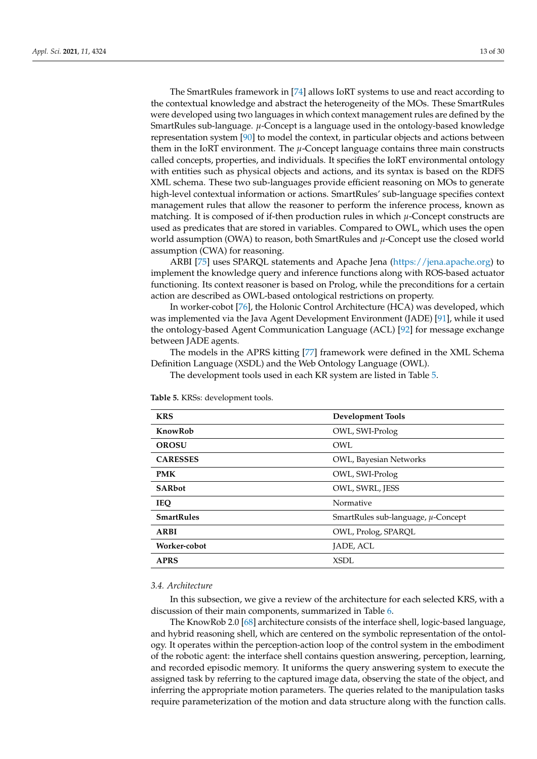The SmartRules framework in [\[74\]](#page-27-16) allows IoRT systems to use and react according to the contextual knowledge and abstract the heterogeneity of the MOs. These SmartRules were developed using two languages in which context management rules are defined by the SmartRules sub-language. *µ*-Concept is a language used in the ontology-based knowledge representation system [\[90\]](#page-28-8) to model the context, in particular objects and actions between them in the IoRT environment. The *µ*-Concept language contains three main constructs called concepts, properties, and individuals. It specifies the IoRT environmental ontology with entities such as physical objects and actions, and its syntax is based on the RDFS XML schema. These two sub-languages provide efficient reasoning on MOs to generate high-level contextual information or actions. SmartRules' sub-language specifies context management rules that allow the reasoner to perform the inference process, known as matching. It is composed of if-then production rules in which *µ*-Concept constructs are used as predicates that are stored in variables. Compared to OWL, which uses the open world assumption (OWA) to reason, both SmartRules and *µ*-Concept use the closed world assumption (CWA) for reasoning.

ARBI [\[75\]](#page-27-17) uses SPARQL statements and Apache Jena [\(https://jena.apache.org\)](https://jena.apache.org) to implement the knowledge query and inference functions along with ROS-based actuator functioning. Its context reasoner is based on Prolog, while the preconditions for a certain action are described as OWL-based ontological restrictions on property.

In worker-cobot [\[76\]](#page-27-18), the Holonic Control Architecture (HCA) was developed, which was implemented via the Java Agent Development Environment (JADE) [\[91\]](#page-28-9), while it used the ontology-based Agent Communication Language (ACL) [\[92\]](#page-28-10) for message exchange between JADE agents.

The models in the APRS kitting [\[77\]](#page-27-19) framework were defined in the XML Schema Definition Language (XSDL) and the Web Ontology Language (OWL).

The development tools used in each KR system are listed in Table [5.](#page-12-1)

| <b>KRS</b>        | <b>Development Tools</b>                |
|-------------------|-----------------------------------------|
| KnowRob           | OWL, SWI-Prolog                         |
| <b>OROSU</b>      | OWL.                                    |
| <b>CARESSES</b>   | OWL, Bayesian Networks                  |
| <b>PMK</b>        | OWL, SWI-Prolog                         |
| <b>SARbot</b>     | OWL, SWRL, JESS                         |
| <b>IEQ</b>        | Normative                               |
| <b>SmartRules</b> | SmartRules sub-language, $\mu$ -Concept |
| <b>ARBI</b>       | OWL, Prolog, SPARQL                     |
| Worker-cobot      | JADE, ACL                               |
| <b>APRS</b>       | XSDL                                    |
|                   |                                         |

<span id="page-12-1"></span>**Table 5.** KRSs: development tools.

#### <span id="page-12-0"></span>*3.4. Architecture*

In this subsection, we give a review of the architecture for each selected KRS, with a discussion of their main components, summarized in Table [6.](#page-13-0)

The KnowRob 2.0 [\[68\]](#page-27-10) architecture consists of the interface shell, logic-based language, and hybrid reasoning shell, which are centered on the symbolic representation of the ontology. It operates within the perception-action loop of the control system in the embodiment of the robotic agent: the interface shell contains question answering, perception, learning, and recorded episodic memory. It uniforms the query answering system to execute the assigned task by referring to the captured image data, observing the state of the object, and inferring the appropriate motion parameters. The queries related to the manipulation tasks require parameterization of the motion and data structure along with the function calls.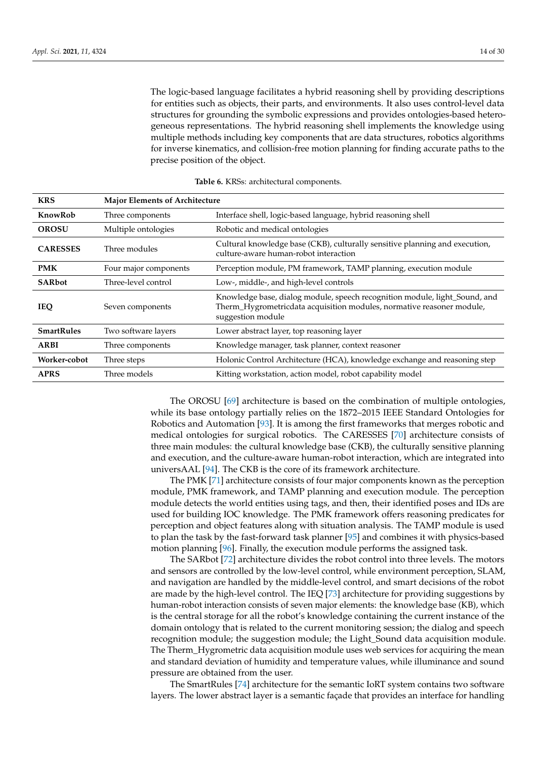The logic-based language facilitates a hybrid reasoning shell by providing descriptions for entities such as objects, their parts, and environments. It also uses control-level data structures for grounding the symbolic expressions and provides ontologies-based heterogeneous representations. The hybrid reasoning shell implements the knowledge using multiple methods including key components that are data structures, robotics algorithms for inverse kinematics, and collision-free motion planning for finding accurate paths to the precise position of the object.

<span id="page-13-0"></span>

| <b>KRS</b>                                                                | <b>Major Elements of Architecture</b>                                             |                                                                                                                                                                          |  |  |  |
|---------------------------------------------------------------------------|-----------------------------------------------------------------------------------|--------------------------------------------------------------------------------------------------------------------------------------------------------------------------|--|--|--|
| KnowRob                                                                   | Interface shell, logic-based language, hybrid reasoning shell<br>Three components |                                                                                                                                                                          |  |  |  |
| <b>OROSU</b>                                                              | Multiple ontologies<br>Robotic and medical ontologies                             |                                                                                                                                                                          |  |  |  |
| <b>CARESSES</b><br>Three modules<br>culture-aware human-robot interaction |                                                                                   | Cultural knowledge base (CKB), culturally sensitive planning and execution,                                                                                              |  |  |  |
| <b>PMK</b>                                                                | Four major components                                                             | Perception module, PM framework, TAMP planning, execution module                                                                                                         |  |  |  |
| <b>SARbot</b>                                                             | Three-level control                                                               | Low-, middle-, and high-level controls                                                                                                                                   |  |  |  |
| <b>IEQ</b>                                                                | Seven components                                                                  | Knowledge base, dialog module, speech recognition module, light_Sound, and<br>Therm_Hygrometricdata acquisition modules, normative reasoner module,<br>suggestion module |  |  |  |
| <b>SmartRules</b>                                                         | Two software layers                                                               | Lower abstract layer, top reasoning layer                                                                                                                                |  |  |  |
| <b>ARBI</b>                                                               | Three components                                                                  | Knowledge manager, task planner, context reasoner                                                                                                                        |  |  |  |
| Worker-cobot                                                              | Three steps                                                                       | Holonic Control Architecture (HCA), knowledge exchange and reasoning step                                                                                                |  |  |  |
| <b>APRS</b>                                                               | Three models                                                                      | Kitting workstation, action model, robot capability model                                                                                                                |  |  |  |

**Table 6.** KRSs: architectural components.

The OROSU [\[69\]](#page-27-11) architecture is based on the combination of multiple ontologies, while its base ontology partially relies on the 1872–2015 IEEE Standard Ontologies for Robotics and Automation [\[93\]](#page-28-11). It is among the first frameworks that merges robotic and medical ontologies for surgical robotics. The CARESSES [\[70\]](#page-27-12) architecture consists of three main modules: the cultural knowledge base (CKB), the culturally sensitive planning and execution, and the culture-aware human-robot interaction, which are integrated into universAAL [\[94\]](#page-28-12). The CKB is the core of its framework architecture.

The PMK [\[71\]](#page-27-13) architecture consists of four major components known as the perception module, PMK framework, and TAMP planning and execution module. The perception module detects the world entities using tags, and then, their identified poses and IDs are used for building IOC knowledge. The PMK framework offers reasoning predicates for perception and object features along with situation analysis. The TAMP module is used to plan the task by the fast-forward task planner [\[95\]](#page-28-13) and combines it with physics-based motion planning [\[96\]](#page-28-14). Finally, the execution module performs the assigned task.

The SARbot [\[72\]](#page-27-14) architecture divides the robot control into three levels. The motors and sensors are controlled by the low-level control, while environment perception, SLAM, and navigation are handled by the middle-level control, and smart decisions of the robot are made by the high-level control. The IEQ [\[73\]](#page-27-15) architecture for providing suggestions by human-robot interaction consists of seven major elements: the knowledge base (KB), which is the central storage for all the robot's knowledge containing the current instance of the domain ontology that is related to the current monitoring session; the dialog and speech recognition module; the suggestion module; the Light\_Sound data acquisition module. The Therm\_Hygrometric data acquisition module uses web services for acquiring the mean and standard deviation of humidity and temperature values, while illuminance and sound pressure are obtained from the user.

The SmartRules [\[74\]](#page-27-16) architecture for the semantic IoRT system contains two software layers. The lower abstract layer is a semantic façade that provides an interface for handling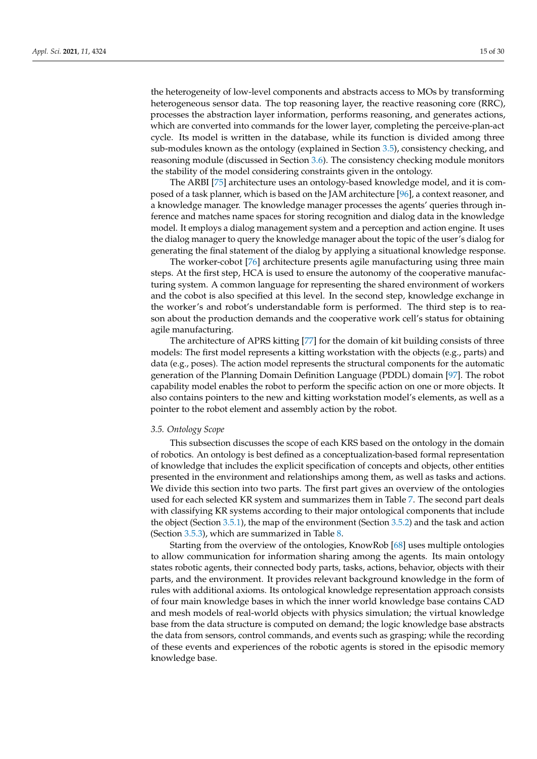the heterogeneity of low-level components and abstracts access to MOs by transforming heterogeneous sensor data. The top reasoning layer, the reactive reasoning core (RRC), processes the abstraction layer information, performs reasoning, and generates actions, which are converted into commands for the lower layer, completing the perceive-plan-act cycle. Its model is written in the database, while its function is divided among three sub-modules known as the ontology (explained in Section [3.5\)](#page-14-0), consistency checking, and reasoning module (discussed in Section [3.6\)](#page-19-0). The consistency checking module monitors the stability of the model considering constraints given in the ontology.

The ARBI [\[75\]](#page-27-17) architecture uses an ontology-based knowledge model, and it is composed of a task planner, which is based on the JAM architecture [\[96\]](#page-28-14), a context reasoner, and a knowledge manager. The knowledge manager processes the agents' queries through inference and matches name spaces for storing recognition and dialog data in the knowledge model. It employs a dialog management system and a perception and action engine. It uses the dialog manager to query the knowledge manager about the topic of the user's dialog for generating the final statement of the dialog by applying a situational knowledge response.

The worker-cobot [\[76\]](#page-27-18) architecture presents agile manufacturing using three main steps. At the first step, HCA is used to ensure the autonomy of the cooperative manufacturing system. A common language for representing the shared environment of workers and the cobot is also specified at this level. In the second step, knowledge exchange in the worker's and robot's understandable form is performed. The third step is to reason about the production demands and the cooperative work cell's status for obtaining agile manufacturing.

The architecture of APRS kitting [\[77\]](#page-27-19) for the domain of kit building consists of three models: The first model represents a kitting workstation with the objects (e.g., parts) and data (e.g., poses). The action model represents the structural components for the automatic generation of the Planning Domain Definition Language (PDDL) domain [\[97\]](#page-28-15). The robot capability model enables the robot to perform the specific action on one or more objects. It also contains pointers to the new and kitting workstation model's elements, as well as a pointer to the robot element and assembly action by the robot.

## <span id="page-14-0"></span>*3.5. Ontology Scope*

This subsection discusses the scope of each KRS based on the ontology in the domain of robotics. An ontology is best defined as a conceptualization-based formal representation of knowledge that includes the explicit specification of concepts and objects, other entities presented in the environment and relationships among them, as well as tasks and actions. We divide this section into two parts. The first part gives an overview of the ontologies used for each selected KR system and summarizes them in Table [7.](#page-15-0) The second part deals with classifying KR systems according to their major ontological components that include the object (Section [3.5.1\)](#page-17-0), the map of the environment (Section [3.5.2\)](#page-18-0) and the task and action (Section [3.5.3\)](#page-18-1), which are summarized in Table [8.](#page-16-0)

Starting from the overview of the ontologies, KnowRob [\[68\]](#page-27-10) uses multiple ontologies to allow communication for information sharing among the agents. Its main ontology states robotic agents, their connected body parts, tasks, actions, behavior, objects with their parts, and the environment. It provides relevant background knowledge in the form of rules with additional axioms. Its ontological knowledge representation approach consists of four main knowledge bases in which the inner world knowledge base contains CAD and mesh models of real-world objects with physics simulation; the virtual knowledge base from the data structure is computed on demand; the logic knowledge base abstracts the data from sensors, control commands, and events such as grasping; while the recording of these events and experiences of the robotic agents is stored in the episodic memory knowledge base.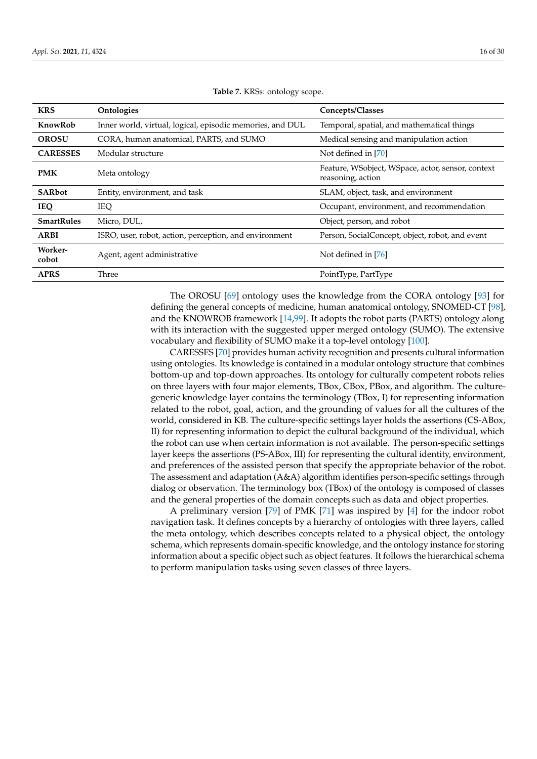<span id="page-15-0"></span>

| <b>KRS</b>              | Ontologies                                                | Concepts/Classes                                                       |
|-------------------------|-----------------------------------------------------------|------------------------------------------------------------------------|
| KnowRob                 | Inner world, virtual, logical, episodic memories, and DUL | Temporal, spatial, and mathematical things                             |
| <b>OROSU</b>            | CORA, human anatomical, PARTS, and SUMO                   | Medical sensing and manipulation action                                |
| <b>CARESSES</b>         | Modular structure                                         | Not defined in [70]                                                    |
| <b>PMK</b>              | Meta ontology                                             | Feature, WSobject, WSpace, actor, sensor, context<br>reasoning, action |
| <b>SARbot</b>           | Entity, environment, and task                             | SLAM, object, task, and environment                                    |
| <b>IEQ</b>              | <b>IEQ</b>                                                | Occupant, environment, and recommendation                              |
| <b>SmartRules</b>       | Micro, DUL,                                               | Object, person, and robot                                              |
| <b>ARBI</b>             | ISRO, user, robot, action, perception, and environment    | Person, SocialConcept, object, robot, and event                        |
| <b>Worker-</b><br>cobot | Agent, agent administrative                               | Not defined in [76]                                                    |
| <b>APRS</b>             | Three                                                     | PointType, PartType                                                    |

**Table 7.** KRSs: ontology scope.

The OROSU [\[69\]](#page-27-11) ontology uses the knowledge from the CORA ontology [\[93\]](#page-28-11) for defining the general concepts of medicine, human anatomical ontology, SNOMED-CT [\[98\]](#page-28-16), and the KNOWROB framework [\[14,](#page-25-7)[99\]](#page-28-17). It adopts the robot parts (PARTS) ontology along with its interaction with the suggested upper merged ontology (SUMO). The extensive vocabulary and flexibility of SUMO make it a top-level ontology [\[100\]](#page-28-18).

CARESSES [\[70\]](#page-27-12) provides human activity recognition and presents cultural information using ontologies. Its knowledge is contained in a modular ontology structure that combines bottom-up and top-down approaches. Its ontology for culturally competent robots relies on three layers with four major elements, TBox, CBox, PBox, and algorithm. The culturegeneric knowledge layer contains the terminology (TBox, I) for representing information related to the robot, goal, action, and the grounding of values for all the cultures of the world, considered in KB. The culture-specific settings layer holds the assertions (CS-ABox, II) for representing information to depict the cultural background of the individual, which the robot can use when certain information is not available. The person-specific settings layer keeps the assertions (PS-ABox, III) for representing the cultural identity, environment, and preferences of the assisted person that specify the appropriate behavior of the robot. The assessment and adaptation (A&A) algorithm identifies person-specific settings through dialog or observation. The terminology box (TBox) of the ontology is composed of classes and the general properties of the domain concepts such as data and object properties.

A preliminary version [\[79\]](#page-27-21) of PMK [\[71\]](#page-27-13) was inspired by [\[4\]](#page-24-3) for the indoor robot navigation task. It defines concepts by a hierarchy of ontologies with three layers, called the meta ontology, which describes concepts related to a physical object, the ontology schema, which represents domain-specific knowledge, and the ontology instance for storing information about a specific object such as object features. It follows the hierarchical schema to perform manipulation tasks using seven classes of three layers.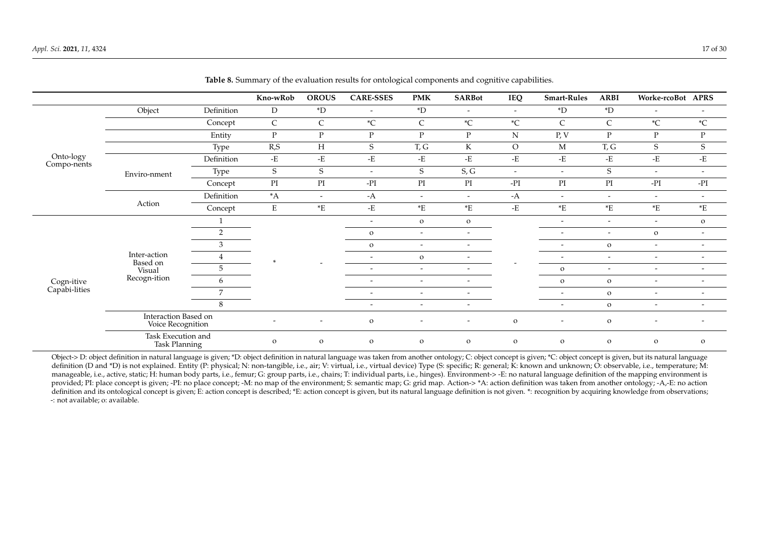|                             |                                            |            | Kno-wRob                   | <b>OROUS</b>             | <b>CARE-SSES</b>         | <b>PMK</b>               | <b>SARBot</b>            | IEQ                      | <b>Smart-Rules</b>       | <b>ARBI</b>                | Worke-rcoBot APRS        |                          |
|-----------------------------|--------------------------------------------|------------|----------------------------|--------------------------|--------------------------|--------------------------|--------------------------|--------------------------|--------------------------|----------------------------|--------------------------|--------------------------|
|                             | Object                                     | Definition | D                          | $\rm ^*D$                | $\overline{\phantom{a}}$ | $\rm ^*D$                | $\overline{\phantom{a}}$ | $\overline{\phantom{a}}$ | $\rm ^*D$                | $\rm ^*D$                  | $\overline{\phantom{a}}$ |                          |
|                             |                                            | Concept    | $\mathsf{C}$               | C                        | $\,{}^*\mathrm{C}$       | $\mathsf{C}$             | $\,{}^*\mathrm{C}$       | $^\ast\!{\rm C}$         | C                        | $\mathsf C$                | $^\ast\!{\rm C}$         | $\,{}^*\mathrm{C}$       |
|                             |                                            | Entity     | $\mathbf{P}$               | P                        | $\mathbf{P}$             | $\mathbf{P}$             | $\mathbf{P}$             | ${\bf N}$                | P, V                     | $\mathbf{P}$               | P                        | $\mathbf{P}$             |
|                             |                                            | Type       | R, S                       | $H_{\rm}$                | S                        | T, G                     | K                        | $\rm O$                  | M                        | T, G                       | S                        | S                        |
| Onto-logy<br>Compo-nents    |                                            | Definition | $\mathbf{-E}$              | -E                       | $\mbox{-} {\bf E}$       | $\mbox{-} {\bf E}$       | $-E$                     | -E                       | $-E$                     | -E                         | -E                       | $\mbox{-} {\bf E}$       |
|                             | Enviro-nment                               | Type       | $\mathbf S$                | $\mathbf S$              | $\overline{\phantom{a}}$ | S                        | S, G                     | $-$                      | $\overline{\phantom{a}}$ | $\mathbf S$                | $\overline{\phantom{a}}$ | $\overline{\phantom{a}}$ |
|                             |                                            | Concept    | $\mathop{\rm PI}\nolimits$ | $\mathop{\rm PI}$        | $-PI$                    | $\mathop{\rm PI}$        | PI                       | $-PI$                    | $\mathop{\rm PI}$        | $\mathop{\rm PI}\nolimits$ | - $PI$                   | $-PI$                    |
|                             | Action                                     | Definition | $^*A$                      | $\overline{\phantom{0}}$ | $-A$                     | $\overline{\phantom{0}}$ | $ \,$                    | $-A$                     | $\overline{\phantom{a}}$ | $\overline{\phantom{a}}$   | $\overline{\phantom{a}}$ | $\overline{\phantom{a}}$ |
|                             |                                            | Concept    | ${\bf E}$                  | $\rm ^*E$                | $\mbox{-} {\bf E}$       | $\rm ^*E$                | $\rm ^*E$                | -E                       | $\rm ^*E$                | $\rm ^*E$                  | $\rm ^*E$                | $\rm ^*E$                |
|                             | Inter-action<br>Based on<br>Visual         |            |                            |                          | $\overline{\phantom{a}}$ | $\mathbf{O}$             | $\mathbf{o}$             |                          | $\overline{\phantom{a}}$ | $\overline{\phantom{a}}$   | $\overline{\phantom{a}}$ | $\mathbf{o}$             |
|                             |                                            | 2          |                            |                          | $\mathbf{o}$             | $\overline{\phantom{a}}$ | $\overline{\phantom{a}}$ |                          | $\overline{\phantom{a}}$ | $\overline{\phantom{a}}$   | $\mathbf{o}$             | $\overline{\phantom{a}}$ |
|                             |                                            | 3          |                            |                          | $\mathbf{o}$             | $\overline{\phantom{a}}$ | $\overline{\phantom{0}}$ |                          | $\overline{\phantom{a}}$ | $\mathbf{o}$               | $\overline{\phantom{a}}$ | $\overline{\phantom{a}}$ |
|                             |                                            | 4          |                            |                          | $\overline{\phantom{a}}$ | $\mathbf{o}$             | $\overline{\phantom{a}}$ |                          | $\overline{\phantom{a}}$ | $\overline{\phantom{a}}$   | $\overline{\phantom{a}}$ | $\overline{\phantom{a}}$ |
|                             |                                            | 5          |                            |                          | $\overline{\phantom{a}}$ | $\overline{\phantom{0}}$ | $\overline{a}$           |                          | $\mathbf O$              | $\overline{\phantom{a}}$   | $\overline{\phantom{a}}$ | $\overline{\phantom{a}}$ |
| Cogn-itive<br>Capabi-lities | Recogn-ition                               | 6          |                            |                          | $\overline{\phantom{a}}$ | $\sim$                   | ۰                        |                          | $\mathbf{o}$             | $\mathbf{o}$               | $\overline{\phantom{a}}$ | $\overline{\phantom{a}}$ |
|                             |                                            | 7          |                            |                          | $\overline{\phantom{a}}$ | $\overline{\phantom{a}}$ |                          |                          | $\overline{\phantom{a}}$ | $\mathbf{o}$               | $\overline{\phantom{a}}$ | $\overline{\phantom{a}}$ |
|                             |                                            | $\,8\,$    |                            |                          | $\overline{\phantom{0}}$ | $\overline{\phantom{a}}$ | $\overline{\phantom{a}}$ |                          | $\overline{\phantom{a}}$ | $\mathbf{o}$               | $\overline{\phantom{a}}$ | $\overline{\phantom{a}}$ |
|                             | Interaction Based on<br>Voice Recognition  |            | $\overline{\phantom{a}}$   | $\overline{\phantom{a}}$ | $\mathbf{o}$             | $\overline{\phantom{0}}$ | $\overline{\phantom{a}}$ | $\mathbf{o}$             | $\overline{\phantom{a}}$ | $\mathbf{o}$               | ٠                        | $\overline{\phantom{a}}$ |
|                             | Task Execution and<br><b>Task Planning</b> |            | $\Omega$                   | $\mathbf{o}$             | $\mathbf O$              | $\mathbf{o}$             | $\mathbf{o}$             | $\mathbf{O}$             | $\mathbf{O}$             | $\mathbf{o}$               | $\mathbf O$              | $\mathbf O$              |

**Table 8.** Summary of the evaluation results for ontological components and cognitive capabilities.

<span id="page-16-0"></span>Object-> D: object definition in natural language is given; \*D: object definition in natural language was taken from another ontology; C: object concept is given; \*C: object concept is given, but its natural language definition (D and \*D) is not explained. Entity (P: physical; N: non-tangible, i.e., air; V: virtual, i.e., virtual device) Type (S: specific; R: general; R: general; K: known and unknown; O: observable, i.e., temperature; manageable, i.e., active, static; H: human body parts, i.e., femur; G: group parts, i.e., chairs; T: individual parts, i.e., hinges). Environment-> -E: no natural language definition of the mapping environment is provided; PI: place concept is given; -PI: no place concept; -M: no map of the environment; S: semantic map; G: grid map. Action-> \*A: action definition was taken from another ontology; -A,-E: no action action definition and its ontological concept is given; E: action concept is described; \*E: action concept is given, but its natural language definition is not given. \*: recognition by acquiring knowledge from observations; -: not available; o: available.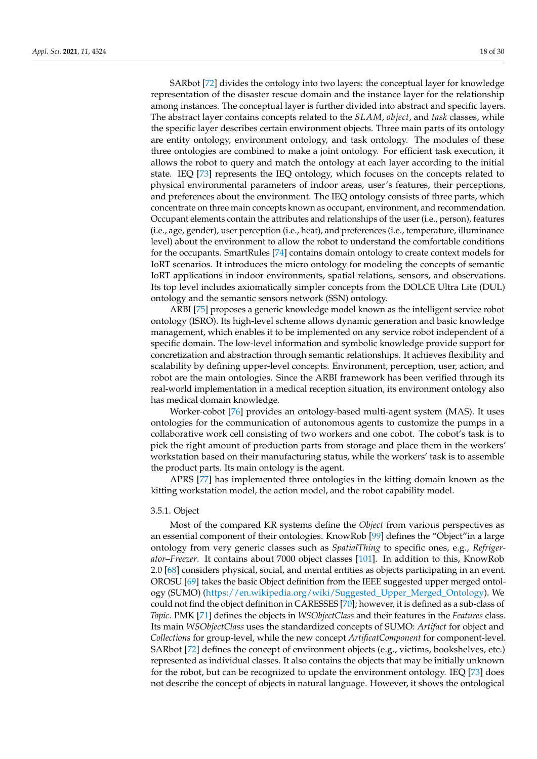SARbot [\[72\]](#page-27-14) divides the ontology into two layers: the conceptual layer for knowledge representation of the disaster rescue domain and the instance layer for the relationship among instances. The conceptual layer is further divided into abstract and specific layers. The abstract layer contains concepts related to the *SLAM*, *object*, and *task* classes, while the specific layer describes certain environment objects. Three main parts of its ontology are entity ontology, environment ontology, and task ontology. The modules of these three ontologies are combined to make a joint ontology. For efficient task execution, it allows the robot to query and match the ontology at each layer according to the initial state. IEQ [\[73\]](#page-27-15) represents the IEQ ontology, which focuses on the concepts related to physical environmental parameters of indoor areas, user's features, their perceptions, and preferences about the environment. The IEQ ontology consists of three parts, which concentrate on three main concepts known as occupant, environment, and recommendation. Occupant elements contain the attributes and relationships of the user (i.e., person), features (i.e., age, gender), user perception (i.e., heat), and preferences (i.e., temperature, illuminance level) about the environment to allow the robot to understand the comfortable conditions for the occupants. SmartRules [\[74\]](#page-27-16) contains domain ontology to create context models for IoRT scenarios. It introduces the micro ontology for modeling the concepts of semantic IoRT applications in indoor environments, spatial relations, sensors, and observations. Its top level includes axiomatically simpler concepts from the DOLCE Ultra Lite (DUL) ontology and the semantic sensors network (SSN) ontology.

ARBI [\[75\]](#page-27-17) proposes a generic knowledge model known as the intelligent service robot ontology (ISRO). Its high-level scheme allows dynamic generation and basic knowledge management, which enables it to be implemented on any service robot independent of a specific domain. The low-level information and symbolic knowledge provide support for concretization and abstraction through semantic relationships. It achieves flexibility and scalability by defining upper-level concepts. Environment, perception, user, action, and robot are the main ontologies. Since the ARBI framework has been verified through its real-world implementation in a medical reception situation, its environment ontology also has medical domain knowledge.

Worker-cobot [\[76\]](#page-27-18) provides an ontology-based multi-agent system (MAS). It uses ontologies for the communication of autonomous agents to customize the pumps in a collaborative work cell consisting of two workers and one cobot. The cobot's task is to pick the right amount of production parts from storage and place them in the workers' workstation based on their manufacturing status, while the workers' task is to assemble the product parts. Its main ontology is the agent.

APRS [\[77\]](#page-27-19) has implemented three ontologies in the kitting domain known as the kitting workstation model, the action model, and the robot capability model.

# <span id="page-17-0"></span>3.5.1. Object

Most of the compared KR systems define the *Object* from various perspectives as an essential component of their ontologies. KnowRob [\[99\]](#page-28-17) defines the "Object"in a large ontology from very generic classes such as *SpatialThing* to specific ones, e.g., *Refrigerator–Freezer*. It contains about 7000 object classes [\[101\]](#page-28-19). In addition to this, KnowRob 2.0 [\[68\]](#page-27-10) considers physical, social, and mental entities as objects participating in an event. OROSU [\[69\]](#page-27-11) takes the basic Object definition from the IEEE suggested upper merged ontology (SUMO) [\(https://en.wikipedia.org/wiki/Suggested\\_Upper\\_Merged\\_Ontology\)](https://en.wikipedia.org/wiki/Suggested_Upper_Merged_Ontology). We could not find the object definition in CARESSES [\[70\]](#page-27-12); however, it is defined as a sub-class of *Topic*. PMK [\[71\]](#page-27-13) defines the objects in *WSObjectClass* and their features in the *Features* class. Its main *WSObjectClass* uses the standardized concepts of SUMO: *Artifact* for object and *Collections* for group-level, while the new concept *ArtificatComponent* for component-level. SARbot [\[72\]](#page-27-14) defines the concept of environment objects (e.g., victims, bookshelves, etc.) represented as individual classes. It also contains the objects that may be initially unknown for the robot, but can be recognized to update the environment ontology. IEQ [\[73\]](#page-27-15) does not describe the concept of objects in natural language. However, it shows the ontological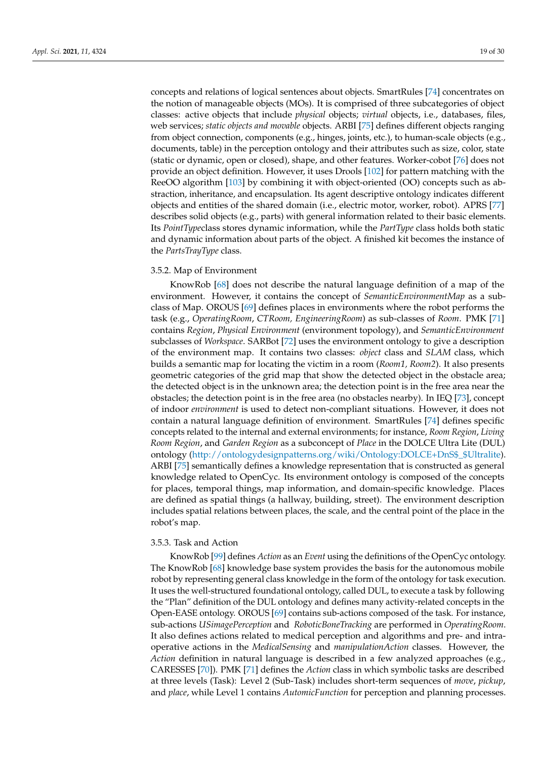concepts and relations of logical sentences about objects. SmartRules [\[74\]](#page-27-16) concentrates on the notion of manageable objects (MOs). It is comprised of three subcategories of object classes: active objects that include *physical* objects; *virtual* objects, i.e., databases, files, web services; *static objects and movable* objects. ARBI [\[75\]](#page-27-17) defines different objects ranging from object connection, components (e.g., hinges, joints, etc.), to human-scale objects (e.g., documents, table) in the perception ontology and their attributes such as size, color, state (static or dynamic, open or closed), shape, and other features. Worker-cobot [\[76\]](#page-27-18) does not provide an object definition. However, it uses Drools [\[102\]](#page-28-20) for pattern matching with the ReeOO algorithm [\[103\]](#page-28-21) by combining it with object-oriented (OO) concepts such as abstraction, inheritance, and encapsulation. Its agent descriptive ontology indicates different objects and entities of the shared domain (i.e., electric motor, worker, robot). APRS [\[77\]](#page-27-19) describes solid objects (e.g., parts) with general information related to their basic elements. Its *PointType*class stores dynamic information, while the *PartType* class holds both static and dynamic information about parts of the object. A finished kit becomes the instance of the *PartsTrayType* class.

# <span id="page-18-0"></span>3.5.2. Map of Environment

KnowRob [\[68\]](#page-27-10) does not describe the natural language definition of a map of the environment. However, it contains the concept of *SemanticEnvironmentMap* as a subclass of Map. OROUS [\[69\]](#page-27-11) defines places in environments where the robot performs the task (e.g., *OperatingRoom*, *CTRoom, EngineeringRoom*) as sub-classes of *Room*. PMK [\[71\]](#page-27-13) contains *Region*, *Physical Environment* (environment topology), and *SemanticEnvironment* subclasses of *Workspace*. SARBot [\[72\]](#page-27-14) uses the environment ontology to give a description of the environment map. It contains two classes: *object* class and *SLAM* class, which builds a semantic map for locating the victim in a room (*Room1, Room2*). It also presents geometric categories of the grid map that show the detected object in the obstacle area; the detected object is in the unknown area; the detection point is in the free area near the obstacles; the detection point is in the free area (no obstacles nearby). In IEQ [\[73\]](#page-27-15), concept of indoor *environment* is used to detect non-compliant situations. However, it does not contain a natural language definition of environment. SmartRules [\[74\]](#page-27-16) defines specific concepts related to the internal and external environments; for instance, *Room Region*, *Living Room Region*, and *Garden Region* as a subconcept of *Place* in the DOLCE Ultra Lite (DUL) ontology [\(http://ontologydesignpatterns.org/wiki/Ontology:DOLCE+DnS\\$\\_\\$Ultralite\)]( http://ontologydesignpatterns.org/wiki/Ontology:DOLCE+DnS$_$Ultralite). ARBI [\[75\]](#page-27-17) semantically defines a knowledge representation that is constructed as general knowledge related to OpenCyc. Its environment ontology is composed of the concepts for places, temporal things, map information, and domain-specific knowledge. Places are defined as spatial things (a hallway, building, street). The environment description includes spatial relations between places, the scale, and the central point of the place in the robot's map.

# <span id="page-18-1"></span>3.5.3. Task and Action

KnowRob [\[99\]](#page-28-17) defines *Action* as an *Event* using the definitions of the OpenCyc ontology. The KnowRob [\[68\]](#page-27-10) knowledge base system provides the basis for the autonomous mobile robot by representing general class knowledge in the form of the ontology for task execution. It uses the well-structured foundational ontology, called DUL, to execute a task by following the "Plan" definition of the DUL ontology and defines many activity-related concepts in the Open-EASE ontology. OROUS [\[69\]](#page-27-11) contains sub-actions composed of the task. For instance, sub-actions *USimagePerception* and *RoboticBoneTracking* are performed in *OperatingRoom*. It also defines actions related to medical perception and algorithms and pre- and intraoperative actions in the *MedicalSensing* and *manipulationAction* classes. However, the *Action* definition in natural language is described in a few analyzed approaches (e.g., CARESSES [\[70\]](#page-27-12)). PMK [\[71\]](#page-27-13) defines the *Action* class in which symbolic tasks are described at three levels (Task): Level 2 (Sub-Task) includes short-term sequences of *move*, *pickup*, and *place*, while Level 1 contains *AutomicFunction* for perception and planning processes.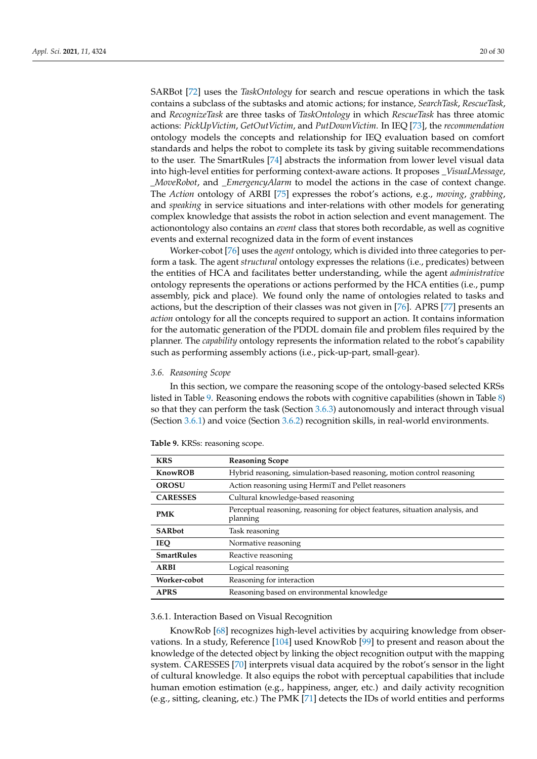SARBot [\[72\]](#page-27-14) uses the *TaskOntology* for search and rescue operations in which the task contains a subclass of the subtasks and atomic actions; for instance, *SearchTask*, *RescueTask*, and *RecognizeTask* are three tasks of *TaskOntology* in which *RescueTask* has three atomic actions: *PickUpVictim*, *GetOutVictim*, and *PutDownVictim*. In IEQ [\[73\]](#page-27-15), the *recommendation* ontology models the concepts and relationship for IEQ evaluation based on comfort standards and helps the robot to complete its task by giving suitable recommendations to the user. The SmartRules [\[74\]](#page-27-16) abstracts the information from lower level visual data into high-level entities for performing context-aware actions. It proposes *\_VisuaLMessage*, *\_MoveRobot*, and *\_EmergencyAlarm* to model the actions in the case of context change. The *Action* ontology of ARBI [\[75\]](#page-27-17) expresses the robot's actions, e.g., *moving*, *grabbing*, and *speaking* in service situations and inter-relations with other models for generating complex knowledge that assists the robot in action selection and event management. The actionontology also contains an *event* class that stores both recordable, as well as cognitive events and external recognized data in the form of event instances

Worker-cobot [\[76\]](#page-27-18) uses the *agent* ontology, which is divided into three categories to perform a task. The agent *structural* ontology expresses the relations (i.e., predicates) between the entities of HCA and facilitates better understanding, while the agent *administrative* ontology represents the operations or actions performed by the HCA entities (i.e., pump assembly, pick and place). We found only the name of ontologies related to tasks and actions, but the description of their classes was not given in [\[76\]](#page-27-18). APRS [\[77\]](#page-27-19) presents an *action* ontology for all the concepts required to support an action. It contains information for the automatic generation of the PDDL domain file and problem files required by the planner. The *capability* ontology represents the information related to the robot's capability such as performing assembly actions (i.e., pick-up-part, small-gear).

#### <span id="page-19-0"></span>*3.6. Reasoning Scope*

In this section, we compare the reasoning scope of the ontology-based selected KRSs listed in Table [9.](#page-19-1) Reasoning endows the robots with cognitive capabilities (shown in Table [8\)](#page-16-0) so that they can perform the task (Section [3.6.3\)](#page-21-0) autonomously and interact through visual (Section [3.6.1\)](#page-19-2) and voice (Section [3.6.2\)](#page-20-0) recognition skills, in real-world environments.

| <b>KRS</b>        | <b>Reasoning Scope</b>                                                                   |
|-------------------|------------------------------------------------------------------------------------------|
| <b>KnowROB</b>    | Hybrid reasoning, simulation-based reasoning, motion control reasoning                   |
| <b>OROSU</b>      | Action reasoning using HermiT and Pellet reasoners                                       |
| <b>CARESSES</b>   | Cultural knowledge-based reasoning                                                       |
| <b>PMK</b>        | Perceptual reasoning, reasoning for object features, situation analysis, and<br>planning |
| <b>SARbot</b>     | Task reasoning                                                                           |
| <b>IEO</b>        | Normative reasoning                                                                      |
| <b>SmartRules</b> | Reactive reasoning                                                                       |
| ARBI              | Logical reasoning                                                                        |
| Worker-cobot      | Reasoning for interaction                                                                |
| <b>APRS</b>       | Reasoning based on environmental knowledge                                               |

<span id="page-19-1"></span>**Table 9.** KRSs: reasoning scope.

# <span id="page-19-2"></span>3.6.1. Interaction Based on Visual Recognition

KnowRob [\[68\]](#page-27-10) recognizes high-level activities by acquiring knowledge from observations. In a study, Reference [\[104\]](#page-28-22) used KnowRob [\[99\]](#page-28-17) to present and reason about the knowledge of the detected object by linking the object recognition output with the mapping system. CARESSES [\[70\]](#page-27-12) interprets visual data acquired by the robot's sensor in the light of cultural knowledge. It also equips the robot with perceptual capabilities that include human emotion estimation (e.g., happiness, anger, etc.) and daily activity recognition (e.g., sitting, cleaning, etc.) The PMK [\[71\]](#page-27-13) detects the IDs of world entities and performs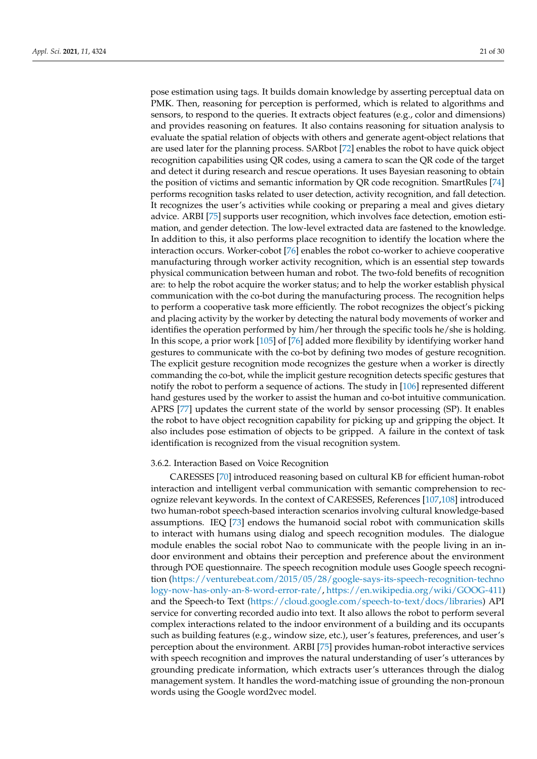pose estimation using tags. It builds domain knowledge by asserting perceptual data on PMK. Then, reasoning for perception is performed, which is related to algorithms and sensors, to respond to the queries. It extracts object features (e.g., color and dimensions) and provides reasoning on features. It also contains reasoning for situation analysis to evaluate the spatial relation of objects with others and generate agent-object relations that are used later for the planning process. SARbot [\[72\]](#page-27-14) enables the robot to have quick object recognition capabilities using QR codes, using a camera to scan the QR code of the target and detect it during research and rescue operations. It uses Bayesian reasoning to obtain the position of victims and semantic information by QR code recognition. SmartRules [\[74\]](#page-27-16) performs recognition tasks related to user detection, activity recognition, and fall detection. It recognizes the user's activities while cooking or preparing a meal and gives dietary advice. ARBI [\[75\]](#page-27-17) supports user recognition, which involves face detection, emotion estimation, and gender detection. The low-level extracted data are fastened to the knowledge. In addition to this, it also performs place recognition to identify the location where the interaction occurs. Worker-cobot [\[76\]](#page-27-18) enables the robot co-worker to achieve cooperative manufacturing through worker activity recognition, which is an essential step towards physical communication between human and robot. The two-fold benefits of recognition are: to help the robot acquire the worker status; and to help the worker establish physical communication with the co-bot during the manufacturing process. The recognition helps to perform a cooperative task more efficiently. The robot recognizes the object's picking and placing activity by the worker by detecting the natural body movements of worker and identifies the operation performed by him/her through the specific tools he/she is holding. In this scope, a prior work [\[105\]](#page-28-23) of [\[76\]](#page-27-18) added more flexibility by identifying worker hand gestures to communicate with the co-bot by defining two modes of gesture recognition. The explicit gesture recognition mode recognizes the gesture when a worker is directly commanding the co-bot, while the implicit gesture recognition detects specific gestures that notify the robot to perform a sequence of actions. The study in [\[106\]](#page-28-24) represented different hand gestures used by the worker to assist the human and co-bot intuitive communication. APRS [\[77\]](#page-27-19) updates the current state of the world by sensor processing (SP). It enables the robot to have object recognition capability for picking up and gripping the object. It also includes pose estimation of objects to be gripped. A failure in the context of task identification is recognized from the visual recognition system.

# <span id="page-20-0"></span>3.6.2. Interaction Based on Voice Recognition

CARESSES [\[70\]](#page-27-12) introduced reasoning based on cultural KB for efficient human-robot interaction and intelligent verbal communication with semantic comprehension to recognize relevant keywords. In the context of CARESSES, References [\[107](#page-28-25)[,108\]](#page-28-26) introduced two human-robot speech-based interaction scenarios involving cultural knowledge-based assumptions. IEQ [\[73\]](#page-27-15) endows the humanoid social robot with communication skills to interact with humans using dialog and speech recognition modules. The dialogue module enables the social robot Nao to communicate with the people living in an indoor environment and obtains their perception and preference about the environment through POE questionnaire. The speech recognition module uses Google speech recognition [\(https://venturebeat.com/2015/05/28/google-says-its-speech-recognition-techno](https://venturebeat.com/2015/05/28/google-says-its-speech-recognition-technology-now-has-only-an-8-word-error-rate/) [logy-now-has-only-an-8-word-error-rate/,](https://venturebeat.com/2015/05/28/google-says-its-speech-recognition-technology-now-has-only-an-8-word-error-rate/) [https://en.wikipedia.org/wiki/GOOG-411\)](https://en.wikipedia.org/wiki/GOOG-411) and the Speech-to Text [\(https://cloud.google.com/speech-to-text/docs/libraries\)](https://cloud.google.com/speech-to-text/docs/libraries) API service for converting recorded audio into text. It also allows the robot to perform several complex interactions related to the indoor environment of a building and its occupants such as building features (e.g., window size, etc.), user's features, preferences, and user's perception about the environment. ARBI [\[75\]](#page-27-17) provides human-robot interactive services with speech recognition and improves the natural understanding of user's utterances by grounding predicate information, which extracts user's utterances through the dialog management system. It handles the word-matching issue of grounding the non-pronoun words using the Google word2vec model.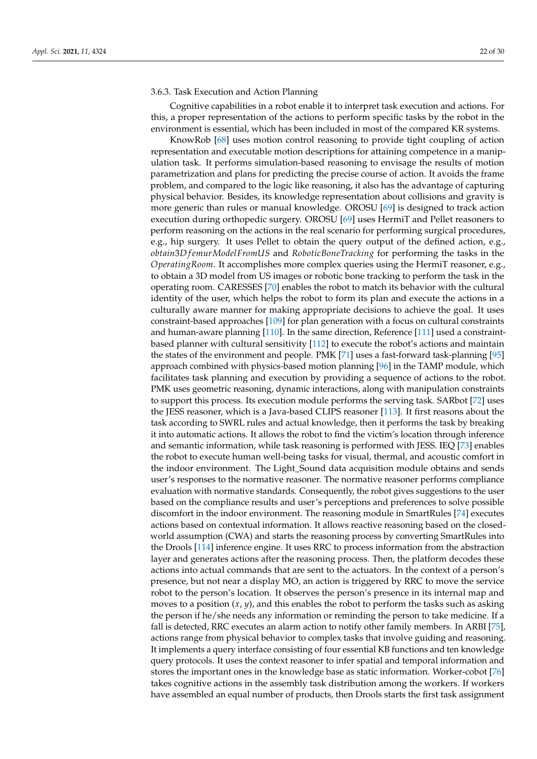# <span id="page-21-0"></span>3.6.3. Task Execution and Action Planning

Cognitive capabilities in a robot enable it to interpret task execution and actions. For this, a proper representation of the actions to perform specific tasks by the robot in the environment is essential, which has been included in most of the compared KR systems.

KnowRob [\[68\]](#page-27-10) uses motion control reasoning to provide tight coupling of action representation and executable motion descriptions for attaining competence in a manipulation task. It performs simulation-based reasoning to envisage the results of motion parametrization and plans for predicting the precise course of action. It avoids the frame problem, and compared to the logic like reasoning, it also has the advantage of capturing physical behavior. Besides, its knowledge representation about collisions and gravity is more generic than rules or manual knowledge. OROSU [\[69\]](#page-27-11) is designed to track action execution during orthopedic surgery. OROSU [\[69\]](#page-27-11) uses HermiT and Pellet reasoners to perform reasoning on the actions in the real scenario for performing surgical procedures, e.g., hip surgery. It uses Pellet to obtain the query output of the defined action, e.g., *obtain*3*D f emurModelFromUS* and *RoboticBoneTracking* for performing the tasks in the *OperatingRoom*. It accomplishes more complex queries using the HermiT reasoner, e.g., to obtain a 3D model from US images or robotic bone tracking to perform the task in the operating room. CARESSES [\[70\]](#page-27-12) enables the robot to match its behavior with the cultural identity of the user, which helps the robot to form its plan and execute the actions in a culturally aware manner for making appropriate decisions to achieve the goal. It uses constraint-based approaches [\[109\]](#page-28-27) for plan generation with a focus on cultural constraints and human-aware planning [\[110\]](#page-28-28). In the same direction, Reference [\[111\]](#page-29-0) used a constraintbased planner with cultural sensitivity [\[112\]](#page-29-1) to execute the robot's actions and maintain the states of the environment and people. PMK [\[71\]](#page-27-13) uses a fast-forward task-planning [\[95\]](#page-28-13) approach combined with physics-based motion planning [\[96\]](#page-28-14) in the TAMP module, which facilitates task planning and execution by providing a sequence of actions to the robot. PMK uses geometric reasoning, dynamic interactions, along with manipulation constraints to support this process. Its execution module performs the serving task. SARbot [\[72\]](#page-27-14) uses the JESS reasoner, which is a Java-based CLIPS reasoner [\[113\]](#page-29-2). It first reasons about the task according to SWRL rules and actual knowledge, then it performs the task by breaking it into automatic actions. It allows the robot to find the victim's location through inference and semantic information, while task reasoning is performed with JESS. IEQ [\[73\]](#page-27-15) enables the robot to execute human well-being tasks for visual, thermal, and acoustic comfort in the indoor environment. The Light\_Sound data acquisition module obtains and sends user's responses to the normative reasoner. The normative reasoner performs compliance evaluation with normative standards. Consequently, the robot gives suggestions to the user based on the compliance results and user's perceptions and preferences to solve possible discomfort in the indoor environment. The reasoning module in SmartRules [\[74\]](#page-27-16) executes actions based on contextual information. It allows reactive reasoning based on the closedworld assumption (CWA) and starts the reasoning process by converting SmartRules into the Drools [\[114\]](#page-29-3) inference engine. It uses RRC to process information from the abstraction layer and generates actions after the reasoning process. Then, the platform decodes these actions into actual commands that are sent to the actuators. In the context of a person's presence, but not near a display MO, an action is triggered by RRC to move the service robot to the person's location. It observes the person's presence in its internal map and moves to a position (*x*, *y*), and this enables the robot to perform the tasks such as asking the person if he/she needs any information or reminding the person to take medicine. If a fall is detected, RRC executes an alarm action to notify other family members. In ARBI [\[75\]](#page-27-17), actions range from physical behavior to complex tasks that involve guiding and reasoning. It implements a query interface consisting of four essential KB functions and ten knowledge query protocols. It uses the context reasoner to infer spatial and temporal information and stores the important ones in the knowledge base as static information. Worker-cobot [\[76\]](#page-27-18) takes cognitive actions in the assembly task distribution among the workers. If workers have assembled an equal number of products, then Drools starts the first task assignment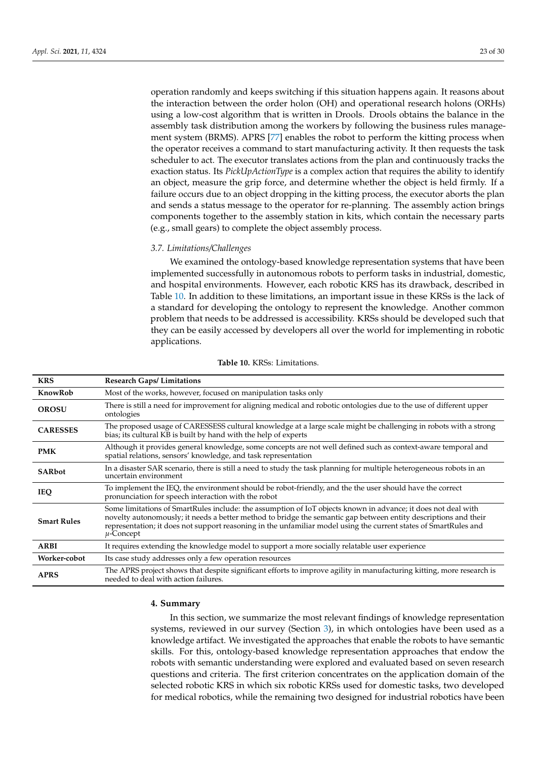operation randomly and keeps switching if this situation happens again. It reasons about the interaction between the order holon (OH) and operational research holons (ORHs) using a low-cost algorithm that is written in Drools. Drools obtains the balance in the assembly task distribution among the workers by following the business rules management system (BRMS). APRS [\[77\]](#page-27-19) enables the robot to perform the kitting process when the operator receives a command to start manufacturing activity. It then requests the task scheduler to act. The executor translates actions from the plan and continuously tracks the exaction status. Its *PickUpActionType* is a complex action that requires the ability to identify an object, measure the grip force, and determine whether the object is held firmly. If a failure occurs due to an object dropping in the kitting process, the executor aborts the plan and sends a status message to the operator for re-planning. The assembly action brings components together to the assembly station in kits, which contain the necessary parts (e.g., small gears) to complete the object assembly process.

# <span id="page-22-1"></span>*3.7. Limitations/Challenges*

We examined the ontology-based knowledge representation systems that have been implemented successfully in autonomous robots to perform tasks in industrial, domestic, and hospital environments. However, each robotic KRS has its drawback, described in Table [10.](#page-22-2) In addition to these limitations, an important issue in these KRSs is the lack of a standard for developing the ontology to represent the knowledge. Another common problem that needs to be addressed is accessibility. KRSs should be developed such that they can be easily accessed by developers all over the world for implementing in robotic applications.

<span id="page-22-2"></span>

| <b>KRS</b>         | <b>Research Gaps/Limitations</b>                                                                                                                                                                                                                                                                                                                                       |
|--------------------|------------------------------------------------------------------------------------------------------------------------------------------------------------------------------------------------------------------------------------------------------------------------------------------------------------------------------------------------------------------------|
| KnowRob            | Most of the works, however, focused on manipulation tasks only                                                                                                                                                                                                                                                                                                         |
| <b>OROSU</b>       | There is still a need for improvement for aligning medical and robotic ontologies due to the use of different upper<br>ontologies                                                                                                                                                                                                                                      |
| <b>CARESSES</b>    | The proposed usage of CARESSESS cultural knowledge at a large scale might be challenging in robots with a strong<br>bias; its cultural KB is built by hand with the help of experts                                                                                                                                                                                    |
| <b>PMK</b>         | Although it provides general knowledge, some concepts are not well defined such as context-aware temporal and<br>spatial relations, sensors' knowledge, and task representation                                                                                                                                                                                        |
| <b>SARbot</b>      | In a disaster SAR scenario, there is still a need to study the task planning for multiple heterogeneous robots in an<br>uncertain environment                                                                                                                                                                                                                          |
| <b>IEQ</b>         | To implement the IEQ, the environment should be robot-friendly, and the the user should have the correct<br>pronunciation for speech interaction with the robot                                                                                                                                                                                                        |
| <b>Smart Rules</b> | Some limitations of SmartRules include: the assumption of IoT objects known in advance; it does not deal with<br>novelty autonomously; it needs a better method to bridge the semantic gap between entity descriptions and their<br>representation; it does not support reasoning in the unfamiliar model using the current states of SmartRules and<br>$\mu$ -Concept |
| <b>ARBI</b>        | It requires extending the knowledge model to support a more socially relatable user experience                                                                                                                                                                                                                                                                         |
| Worker-cobot       | Its case study addresses only a few operation resources                                                                                                                                                                                                                                                                                                                |
| <b>APRS</b>        | The APRS project shows that despite significant efforts to improve agility in manufacturing kitting, more research is<br>needed to deal with action failures.                                                                                                                                                                                                          |

# **Table 10.** KRSs: Limitations.

# <span id="page-22-0"></span>**4. Summary**

In this section, we summarize the most relevant findings of knowledge representation systems, reviewed in our survey (Section [3\)](#page-6-0), in which ontologies have been used as a knowledge artifact. We investigated the approaches that enable the robots to have semantic skills. For this, ontology-based knowledge representation approaches that endow the robots with semantic understanding were explored and evaluated based on seven research questions and criteria. The first criterion concentrates on the application domain of the selected robotic KRS in which six robotic KRSs used for domestic tasks, two developed for medical robotics, while the remaining two designed for industrial robotics have been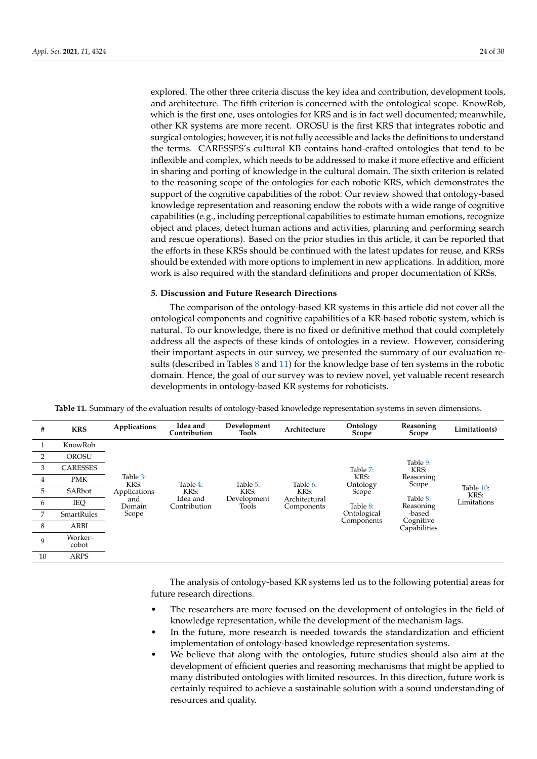explored. The other three criteria discuss the key idea and contribution, development tools, and architecture. The fifth criterion is concerned with the ontological scope. KnowRob, which is the first one, uses ontologies for KRS and is in fact well documented; meanwhile, other KR systems are more recent. OROSU is the first KRS that integrates robotic and surgical ontologies; however, it is not fully accessible and lacks the definitions to understand the terms. CARESSES's cultural KB contains hand-crafted ontologies that tend to be inflexible and complex, which needs to be addressed to make it more effective and efficient in sharing and porting of knowledge in the cultural domain. The sixth criterion is related to the reasoning scope of the ontologies for each robotic KRS, which demonstrates the support of the cognitive capabilities of the robot. Our review showed that ontology-based knowledge representation and reasoning endow the robots with a wide range of cognitive capabilities (e.g., including perceptional capabilities to estimate human emotions, recognize object and places, detect human actions and activities, planning and performing search and rescue operations). Based on the prior studies in this article, it can be reported that the efforts in these KRSs should be continued with the latest updates for reuse, and KRSs should be extended with more options to implement in new applications. In addition, more work is also required with the standard definitions and proper documentation of KRSs.

# **5. Discussion and Future Research Directions**

The comparison of the ontology-based KR systems in this article did not cover all the ontological components and cognitive capabilities of a KR-based robotic system, which is natural. To our knowledge, there is no fixed or definitive method that could completely address all the aspects of these kinds of ontologies in a review. However, considering their important aspects in our survey, we presented the summary of our evaluation results (described in Tables [8](#page-16-0) and [11\)](#page-23-0) for the knowledge base of ten systems in the robotic domain. Hence, the goal of our survey was to review novel, yet valuable recent research developments in ontology-based KR systems for roboticists.

**Table 11.** Summary of the evaluation results of ontology-based knowledge representation systems in seven dimensions.

<span id="page-23-0"></span>

| #  | <b>KRS</b>        | Applications                                               | Idea and<br>Contribution                     | Development<br>Tools                     | Architecture                                    | Ontology<br>Scope                                                              | Reasoning<br>Scope                                                                                     | Limitation(s)                    |
|----|-------------------|------------------------------------------------------------|----------------------------------------------|------------------------------------------|-------------------------------------------------|--------------------------------------------------------------------------------|--------------------------------------------------------------------------------------------------------|----------------------------------|
|    | KnowRob           | Table 3:<br>KRS:<br>Applications<br>and<br>Domain<br>Scope | Table 4:<br>KRS:<br>Idea and<br>Contribution | Table 5:<br>KRS:<br>Development<br>Tools | Table 6:<br>KRS:<br>Architectural<br>Components | Table 7:<br>KRS:<br>Ontology<br>Scope<br>Table 8:<br>Ontological<br>Components | Table 9:<br>KRS:<br>Reasoning<br>Scope<br>Table 8:<br>Reasoning<br>-based<br>Cognitive<br>Capabilities | Table 10:<br>KRS:<br>Limitations |
| 2  | <b>OROSU</b>      |                                                            |                                              |                                          |                                                 |                                                                                |                                                                                                        |                                  |
| 3  | <b>CARESSES</b>   |                                                            |                                              |                                          |                                                 |                                                                                |                                                                                                        |                                  |
| 4  | <b>PMK</b>        |                                                            |                                              |                                          |                                                 |                                                                                |                                                                                                        |                                  |
| 5  | SARbot            |                                                            |                                              |                                          |                                                 |                                                                                |                                                                                                        |                                  |
| 6  | IEQ               |                                                            |                                              |                                          |                                                 |                                                                                |                                                                                                        |                                  |
| 7  | <b>SmartRules</b> |                                                            |                                              |                                          |                                                 |                                                                                |                                                                                                        |                                  |
| 8  | ARBI              |                                                            |                                              |                                          |                                                 |                                                                                |                                                                                                        |                                  |
| 9  | Worker-<br>cobot  |                                                            |                                              |                                          |                                                 |                                                                                |                                                                                                        |                                  |
| 10 | <b>ARPS</b>       |                                                            |                                              |                                          |                                                 |                                                                                |                                                                                                        |                                  |

The analysis of ontology-based KR systems led us to the following potential areas for future research directions.

- The researchers are more focused on the development of ontologies in the field of knowledge representation, while the development of the mechanism lags.
- In the future, more research is needed towards the standardization and efficient implementation of ontology-based knowledge representation systems.
- We believe that along with the ontologies, future studies should also aim at the development of efficient queries and reasoning mechanisms that might be applied to many distributed ontologies with limited resources. In this direction, future work is certainly required to achieve a sustainable solution with a sound understanding of resources and quality.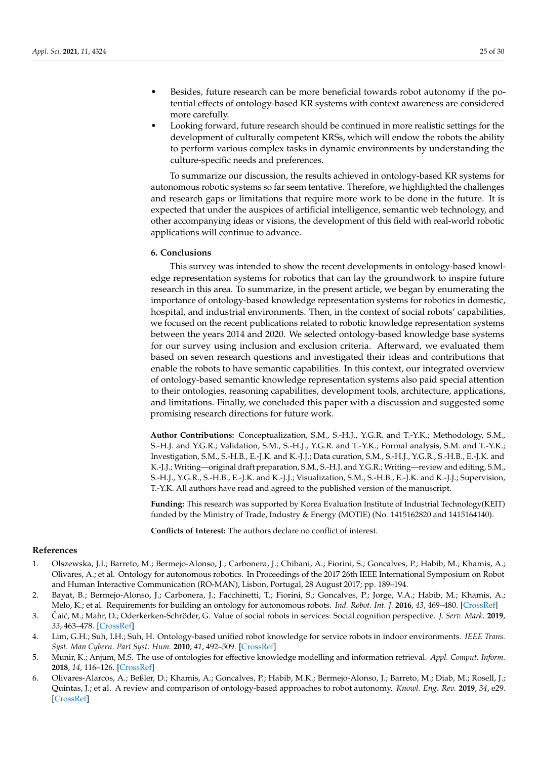- Besides, future research can be more beneficial towards robot autonomy if the potential effects of ontology-based KR systems with context awareness are considered more carefully.
- Looking forward, future research should be continued in more realistic settings for the development of culturally competent KRSs, which will endow the robots the ability to perform various complex tasks in dynamic environments by understanding the culture-specific needs and preferences.

To summarize our discussion, the results achieved in ontology-based KR systems for autonomous robotic systems so far seem tentative. Therefore, we highlighted the challenges and research gaps or limitations that require more work to be done in the future. It is expected that under the auspices of artificial intelligence, semantic web technology, and other accompanying ideas or visions, the development of this field with real-world robotic applications will continue to advance.

# <span id="page-24-6"></span>**6. Conclusions**

This survey was intended to show the recent developments in ontology-based knowledge representation systems for robotics that can lay the groundwork to inspire future research in this area. To summarize, in the present article, we began by enumerating the importance of ontology-based knowledge representation systems for robotics in domestic, hospital, and industrial environments. Then, in the context of social robots' capabilities, we focused on the recent publications related to robotic knowledge representation systems between the years 2014 and 2020. We selected ontology-based knowledge base systems for our survey using inclusion and exclusion criteria. Afterward, we evaluated them based on seven research questions and investigated their ideas and contributions that enable the robots to have semantic capabilities. In this context, our integrated overview of ontology-based semantic knowledge representation systems also paid special attention to their ontologies, reasoning capabilities, development tools, architecture, applications, and limitations. Finally, we concluded this paper with a discussion and suggested some promising research directions for future work.

**Author Contributions:** Conceptualization, S.M., S.-H.J., Y.G.R. and T.-Y.K.; Methodology, S.M., S.-H.J. and Y.G.R.; Validation, S.M., S.-H.J., Y.G.R. and T.-Y.K.; Formal analysis, S.M. and T.-Y.K.; Investigation, S.M., S.-H.B., E.-J.K. and K.-J.J.; Data curation, S.M., S.-H.J., Y.G.R., S.-H.B., E.-J.K. and K.-J.J.; Writing—original draft preparation, S.M., S.-H.J. and Y.G.R.; Writing—review and editing, S.M., S.-H.J., Y.G.R., S.-H.B., E.-J.K. and K.-J.J.; Visualization, S.M., S.-H.B., E.-J.K. and K.-J.J.; Supervision, T.-Y.K. All authors have read and agreed to the published version of the manuscript.

**Funding:** This research was supported by Korea Evaluation Institute of Industrial Technology(KEIT) funded by the Ministry of Trade, Industry & Energy (MOTIE) (No. 1415162820 and 1415164140).

**Conflicts of Interest:** The authors declare no conflict of interest.

## **References**

- <span id="page-24-0"></span>1. Olszewska, J.I.; Barreto, M.; Bermejo-Alonso, J.; Carbonera, J.; Chibani, A.; Fiorini, S.; Goncalves, P.; Habib, M.; Khamis, A.; Olivares, A.; et al. Ontology for autonomous robotics. In Proceedings of the 2017 26th IEEE International Symposium on Robot and Human Interactive Communication (RO-MAN), Lisbon, Portugal, 28 August 2017; pp. 189–194.
- <span id="page-24-1"></span>2. Bayat, B.; Bermejo-Alonso, J.; Carbonera, J.; Facchinetti, T.; Fiorini, S.; Goncalves, P.; Jorge, V.A.; Habib, M.; Khamis, A.; Melo, K.; et al. Requirements for building an ontology for autonomous robots. *Ind. Robot. Int. J.* **2016**, *43*, 469–480. [\[CrossRef\]](http://doi.org/10.1108/IR-02-2016-0059)
- <span id="page-24-2"></span>3. Caić, M.; Mahr, D.; Oderkerken-Schröder, G. Value of social robots in services: Social cognition perspective. *J. Serv. Mark.* 2019, *33*, 463–478. [\[CrossRef\]](http://dx.doi.org/10.1108/JSM-02-2018-0080)
- <span id="page-24-3"></span>4. Lim, G.H.; Suh, I.H.; Suh, H. Ontology-based unified robot knowledge for service robots in indoor environments. *IEEE Trans. Syst. Man Cybern. Part Syst. Hum.* **2010**, *41*, 492–509. [\[CrossRef\]](http://dx.doi.org/10.1109/TSMCA.2010.2076404)
- <span id="page-24-4"></span>5. Munir, K.; Anjum, M.S. The use of ontologies for effective knowledge modelling and information retrieval. *Appl. Comput. Inform.* **2018**, *14*, 116–126. [\[CrossRef\]](http://dx.doi.org/10.1016/j.aci.2017.07.003)
- <span id="page-24-5"></span>6. Olivares-Alarcos, A.; Beßler, D.; Khamis, A.; Goncalves, P.; Habib, M.K.; Bermejo-Alonso, J.; Barreto, M.; Diab, M.; Rosell, J.; Quintas, J.; et al. A review and comparison of ontology-based approaches to robot autonomy. *Knowl. Eng. Rev.* **2019**, *34*, e29. [\[CrossRef\]](http://dx.doi.org/10.1017/S0269888919000237)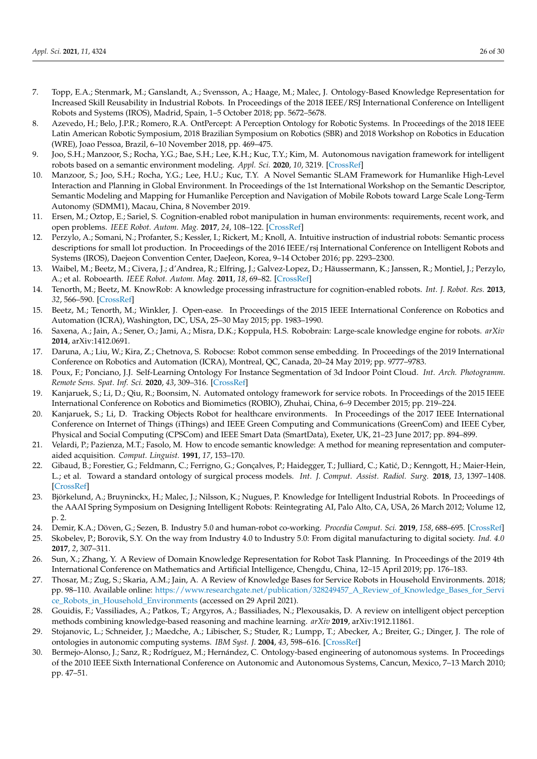- <span id="page-25-0"></span>7. Topp, E.A.; Stenmark, M.; Ganslandt, A.; Svensson, A.; Haage, M.; Malec, J. Ontology-Based Knowledge Representation for Increased Skill Reusability in Industrial Robots. In Proceedings of the 2018 IEEE/RSJ International Conference on Intelligent Robots and Systems (IROS), Madrid, Spain, 1–5 October 2018; pp. 5672–5678.
- <span id="page-25-1"></span>8. Azevedo, H.; Belo, J.P.R.; Romero, R.A. OntPercept: A Perception Ontology for Robotic Systems. In Proceedings of the 2018 IEEE Latin American Robotic Symposium, 2018 Brazilian Symposium on Robotics (SBR) and 2018 Workshop on Robotics in Education (WRE), Joao Pessoa, Brazil, 6–10 November 2018, pp. 469–475.
- <span id="page-25-2"></span>9. Joo, S.H.; Manzoor, S.; Rocha, Y.G.; Bae, S.H.; Lee, K.H.; Kuc, T.Y.; Kim, M. Autonomous navigation framework for intelligent robots based on a semantic environment modeling. *Appl. Sci.* **2020**, *10*, 3219. [\[CrossRef\]](http://dx.doi.org/10.3390/app10093219)
- <span id="page-25-3"></span>10. Manzoor, S.; Joo, S.H.; Rocha, Y.G.; Lee, H.U.; Kuc, T.Y. A Novel Semantic SLAM Framework for Humanlike High-Level Interaction and Planning in Global Environment. In Proceedings of the 1st International Workshop on the Semantic Descriptor, Semantic Modeling and Mapping for Humanlike Perception and Navigation of Mobile Robots toward Large Scale Long-Term Autonomy (SDMM1), Macau, China, 8 November 2019.
- <span id="page-25-4"></span>11. Ersen, M.; Oztop, E.; Sariel, S. Cognition-enabled robot manipulation in human environments: requirements, recent work, and open problems. *IEEE Robot. Autom. Mag.* **2017**, *24*, 108–122. [\[CrossRef\]](http://dx.doi.org/10.1109/MRA.2016.2616538)
- <span id="page-25-5"></span>12. Perzylo, A.; Somani, N.; Profanter, S.; Kessler, I.; Rickert, M.; Knoll, A. Intuitive instruction of industrial robots: Semantic process descriptions for small lot production. In Proceedings of the 2016 IEEE/rsj International Conference on Intelligent Robots and Systems (IROS), Daejeon Convention Center, DaeJeon, Korea, 9–14 October 2016; pp. 2293–2300.
- <span id="page-25-6"></span>13. Waibel, M.; Beetz, M.; Civera, J.; d'Andrea, R.; Elfring, J.; Galvez-Lopez, D.; Häussermann, K.; Janssen, R.; Montiel, J.; Perzylo, A.; et al. Roboearth. *IEEE Robot. Autom. Mag.* **2011**, *18*, 69–82. [\[CrossRef\]](http://dx.doi.org/10.1109/MRA.2011.941632)
- <span id="page-25-7"></span>14. Tenorth, M.; Beetz, M. KnowRob: A knowledge processing infrastructure for cognition-enabled robots. *Int. J. Robot. Res.* **2013**, *32*, 566–590. [\[CrossRef\]](http://dx.doi.org/10.1177/0278364913481635)
- <span id="page-25-8"></span>15. Beetz, M.; Tenorth, M.; Winkler, J. Open-ease. In Proceedings of the 2015 IEEE International Conference on Robotics and Automation (ICRA), Washington, DC, USA, 25–30 May 2015; pp. 1983–1990.
- <span id="page-25-9"></span>16. Saxena, A.; Jain, A.; Sener, O.; Jami, A.; Misra, D.K.; Koppula, H.S. Robobrain: Large-scale knowledge engine for robots. *arXiv* **2014**, arXiv:1412.0691.
- <span id="page-25-10"></span>17. Daruna, A.; Liu, W.; Kira, Z.; Chetnova, S. Robocse: Robot common sense embedding. In Proceedings of the 2019 International Conference on Robotics and Automation (ICRA), Montreal, QC, Canada, 20–24 May 2019; pp. 9777–9783.
- <span id="page-25-11"></span>18. Poux, F.; Ponciano, J.J. Self-Learning Ontology For Instance Segmentation of 3d Indoor Point Cloud. *Int. Arch. Photogramm. Remote Sens. Spat. Inf. Sci.* **2020**, *43*, 309–316. [\[CrossRef\]](http://dx.doi.org/10.5194/isprs-archives-XLIII-B2-2020-309-2020)
- <span id="page-25-12"></span>19. Kanjaruek, S.; Li, D.; Qiu, R.; Boonsim, N. Automated ontology framework for service robots. In Proceedings of the 2015 IEEE International Conference on Robotics and Biomimetics (ROBIO), Zhuhai, China, 6–9 December 2015; pp. 219–224.
- <span id="page-25-13"></span>20. Kanjaruek, S.; Li, D. Tracking Objects Robot for healthcare environments. In Proceedings of the 2017 IEEE International Conference on Internet of Things (iThings) and IEEE Green Computing and Communications (GreenCom) and IEEE Cyber, Physical and Social Computing (CPSCom) and IEEE Smart Data (SmartData), Exeter, UK, 21–23 June 2017; pp. 894–899.
- <span id="page-25-14"></span>21. Velardi, P.; Pazienza, M.T.; Fasolo, M. How to encode semantic knowledge: A method for meaning representation and computeraided acquisition. *Comput. Linguist.* **1991**, *17*, 153–170.
- <span id="page-25-15"></span>22. Gibaud, B.; Forestier, G.; Feldmann, C.; Ferrigno, G.; Gonçalves, P.; Haidegger, T.; Julliard, C.; Katić, D.; Kenngott, H.; Maier-Hein, L.; et al. Toward a standard ontology of surgical process models. *Int. J. Comput. Assist. Radiol. Surg.* **2018**, *13*, 1397–1408. [\[CrossRef\]](http://dx.doi.org/10.1007/s11548-018-1824-5)
- <span id="page-25-16"></span>23. Björkelund, A.; Bruyninckx, H.; Malec, J.; Nilsson, K.; Nugues, P. Knowledge for Intelligent Industrial Robots. In Proceedings of the AAAI Spring Symposium on Designing Intelligent Robots: Reintegrating AI, Palo Alto, CA, USA, 26 March 2012; Volume 12, p. 2.
- <span id="page-25-17"></span>24. Demir, K.A.; Döven, G.; Sezen, B. Industry 5.0 and human-robot co-working. *Procedia Comput. Sci.* **2019**, *158*, 688–695. [\[CrossRef\]](http://dx.doi.org/10.1016/j.procs.2019.09.104)
- <span id="page-25-18"></span>25. Skobelev, P.; Borovik, S.Y. On the way from Industry 4.0 to Industry 5.0: From digital manufacturing to digital society. *Ind. 4.0* **2017**, *2*, 307–311.
- <span id="page-25-19"></span>26. Sun, X.; Zhang, Y. A Review of Domain Knowledge Representation for Robot Task Planning. In Proceedings of the 2019 4th International Conference on Mathematics and Artificial Intelligence, Chengdu, China, 12–15 April 2019; pp. 176–183.
- <span id="page-25-20"></span>27. Thosar, M.; Zug, S.; Skaria, A.M.; Jain, A. A Review of Knowledge Bases for Service Robots in Household Environments. 2018; pp. 98–110. Available online: [https://www.researchgate.net/publication/328249457\\_A\\_Review\\_of\\_Knowledge\\_Bases\\_for\\_Servi](https://www.researchgate.net/publication/328249457_A_Review_of_Knowledge_Bases_for_Service_Robots_in_Household_Environments) [ce\\_Robots\\_in\\_Household\\_Environments](https://www.researchgate.net/publication/328249457_A_Review_of_Knowledge_Bases_for_Service_Robots_in_Household_Environments) (accessed on 29 April 2021).
- <span id="page-25-21"></span>28. Gouidis, F.; Vassiliades, A.; Patkos, T.; Argyros, A.; Bassiliades, N.; Plexousakis, D. A review on intelligent object perception methods combining knowledge-based reasoning and machine learning. *arXiv* **2019**, arXiv:1912.11861.
- <span id="page-25-22"></span>29. Stojanovic, L.; Schneider, J.; Maedche, A.; Libischer, S.; Studer, R.; Lumpp, T.; Abecker, A.; Breiter, G.; Dinger, J. The role of ontologies in autonomic computing systems. *IBM Syst. J.* **2004**, *43*, 598–616. [\[CrossRef\]](http://dx.doi.org/10.1147/sj.433.0598)
- <span id="page-25-23"></span>30. Bermejo-Alonso, J.; Sanz, R.; Rodríguez, M.; Hernández, C. Ontology-based engineering of autonomous systems. In Proceedings of the 2010 IEEE Sixth International Conference on Autonomic and Autonomous Systems, Cancun, Mexico, 7–13 March 2010; pp. 47–51.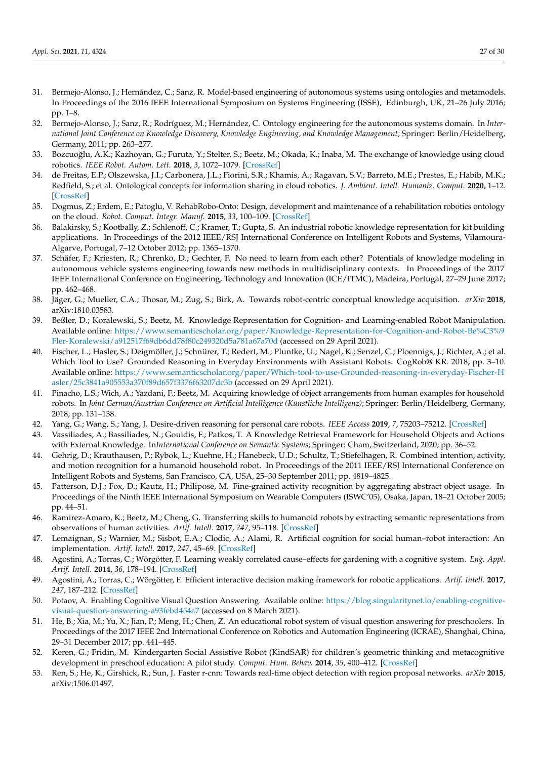- <span id="page-26-0"></span>31. Bermejo-Alonso, J.; Hernández, C.; Sanz, R. Model-based engineering of autonomous systems using ontologies and metamodels. In Proceedings of the 2016 IEEE International Symposium on Systems Engineering (ISSE), Edinburgh, UK, 21–26 July 2016; pp. 1–8.
- <span id="page-26-1"></span>32. Bermejo-Alonso, J.; Sanz, R.; Rodríguez, M.; Hernández, C. Ontology engineering for the autonomous systems domain. In *International Joint Conference on Knowledge Discovery, Knowledge Engineering, and Knowledge Management*; Springer: Berlin/Heidelberg, Germany, 2011; pp. 263–277.
- <span id="page-26-2"></span>33. Bozcuoğlu, A.K.; Kazhoyan, G.; Furuta, Y.; Stelter, S.; Beetz, M.; Okada, K.; Inaba, M. The exchange of knowledge using cloud robotics. *IEEE Robot. Autom. Lett.* **2018**, *3*, 1072–1079. [\[CrossRef\]](http://dx.doi.org/10.1109/LRA.2018.2794626)
- <span id="page-26-3"></span>34. de Freitas, E.P.; Olszewska, J.I.; Carbonera, J.L.; Fiorini, S.R.; Khamis, A.; Ragavan, S.V.; Barreto, M.E.; Prestes, E.; Habib, M.K.; Redfield, S.; et al. Ontological concepts for information sharing in cloud robotics. *J. Ambient. Intell. Humaniz. Comput.* **2020**, 1–12. [\[CrossRef\]](http://dx.doi.org/10.1007/s12652-020-02150-4)
- <span id="page-26-4"></span>35. Dogmus, Z.; Erdem, E.; Patoglu, V. RehabRobo-Onto: Design, development and maintenance of a rehabilitation robotics ontology on the cloud. *Robot. Comput. Integr. Manuf.* **2015**, *33*, 100–109. [\[CrossRef\]](http://dx.doi.org/10.1016/j.rcim.2014.08.010)
- <span id="page-26-5"></span>36. Balakirsky, S.; Kootbally, Z.; Schlenoff, C.; Kramer, T.; Gupta, S. An industrial robotic knowledge representation for kit building applications. In Proceedings of the 2012 IEEE/RSJ International Conference on Intelligent Robots and Systems, Vilamoura-Algarve, Portugal, 7–12 October 2012; pp. 1365–1370.
- <span id="page-26-6"></span>37. Schäfer, F.; Kriesten, R.; Chrenko, D.; Gechter, F. No need to learn from each other? Potentials of knowledge modeling in autonomous vehicle systems engineering towards new methods in multidisciplinary contexts. In Proceedings of the 2017 IEEE International Conference on Engineering, Technology and Innovation (ICE/ITMC), Madeira, Portugal, 27–29 June 2017; pp. 462–468.
- <span id="page-26-7"></span>38. Jäger, G.; Mueller, C.A.; Thosar, M.; Zug, S.; Birk, A. Towards robot-centric conceptual knowledge acquisition. *arXiv* **2018**, arXiv:1810.03583.
- <span id="page-26-8"></span>39. Beßler, D.; Koralewski, S.; Beetz, M. Knowledge Representation for Cognition- and Learning-enabled Robot Manipulation. Available online: [https://www.semanticscholar.org/paper/Knowledge-Representation-for-Cognition-and-Robot-Be%C3%9](https://www.semanticscholar.org/paper/Knowledge-Representation-for-Cognition-and-Robot-Be%C3%9Fler-Koralewski/a912517f69db6dd78f80c249320d5a781a67a70d) [Fler-Koralewski/a912517f69db6dd78f80c249320d5a781a67a70d](https://www.semanticscholar.org/paper/Knowledge-Representation-for-Cognition-and-Robot-Be%C3%9Fler-Koralewski/a912517f69db6dd78f80c249320d5a781a67a70d) (accessed on 29 April 2021).
- <span id="page-26-9"></span>40. Fischer, L.; Hasler, S.; Deigmöller, J.; Schnürer, T.; Redert, M.; Pluntke, U.; Nagel, K.; Senzel, C.; Ploennigs, J.; Richter, A.; et al. Which Tool to Use? Grounded Reasoning in Everyday Environments with Assistant Robots. CogRob@ KR. 2018; pp. 3–10. Available online: [https://www.semanticscholar.org/paper/Which-tool-to-use-Grounded-reasoning-in-everyday-Fischer-H](https://www.semanticscholar.org/paper/Which-tool-to-use-Grounded-reasoning-in-everyday-Fischer-Hasler/25c3841a905553a370f89d657f3376f63207dc3b) [asler/25c3841a905553a370f89d657f3376f63207dc3b](https://www.semanticscholar.org/paper/Which-tool-to-use-Grounded-reasoning-in-everyday-Fischer-Hasler/25c3841a905553a370f89d657f3376f63207dc3b) (accessed on 29 April 2021).
- <span id="page-26-10"></span>41. Pinacho, L.S.; Wich, A.; Yazdani, F.; Beetz, M. Acquiring knowledge of object arrangements from human examples for household robots. In *Joint German/Austrian Conference on Artificial Intelligence (Künstliche Intelligenz)*; Springer: Berlin/Heidelberg, Germany, 2018; pp. 131–138.
- <span id="page-26-11"></span>42. Yang, G.; Wang, S.; Yang, J. Desire-driven reasoning for personal care robots. *IEEE Access* **2019**, *7*, 75203–75212. [\[CrossRef\]](http://dx.doi.org/10.1109/ACCESS.2019.2921112)
- <span id="page-26-12"></span>43. Vassiliades, A.; Bassiliades, N.; Gouidis, F.; Patkos, T. A Knowledge Retrieval Framework for Household Objects and Actions with External Knowledge. In*International Conference on Semantic Systems*; Springer: Cham, Switzerland, 2020; pp. 36–52.
- <span id="page-26-13"></span>44. Gehrig, D.; Krauthausen, P.; Rybok, L.; Kuehne, H.; Hanebeck, U.D.; Schultz, T.; Stiefelhagen, R. Combined intention, activity, and motion recognition for a humanoid household robot. In Proceedings of the 2011 IEEE/RSJ International Conference on Intelligent Robots and Systems, San Francisco, CA, USA, 25–30 September 2011; pp. 4819–4825.
- <span id="page-26-14"></span>45. Patterson, D.J.; Fox, D.; Kautz, H.; Philipose, M. Fine-grained activity recognition by aggregating abstract object usage. In Proceedings of the Ninth IEEE International Symposium on Wearable Computers (ISWC'05), Osaka, Japan, 18–21 October 2005; pp. 44–51.
- <span id="page-26-15"></span>46. Ramirez-Amaro, K.; Beetz, M.; Cheng, G. Transferring skills to humanoid robots by extracting semantic representations from observations of human activities. *Artif. Intell.* **2017**, *247*, 95–118. [\[CrossRef\]](http://dx.doi.org/10.1016/j.artint.2015.08.009)
- <span id="page-26-16"></span>47. Lemaignan, S.; Warnier, M.; Sisbot, E.A.; Clodic, A.; Alami, R. Artificial cognition for social human–robot interaction: An implementation. *Artif. Intell.* **2017**, *247*, 45–69. [\[CrossRef\]](http://dx.doi.org/10.1016/j.artint.2016.07.002)
- <span id="page-26-17"></span>48. Agostini, A.; Torras, C.; Wörgötter, F. Learning weakly correlated cause–effects for gardening with a cognitive system. *Eng. Appl. Artif. Intell.* **2014**, *36*, 178–194. [\[CrossRef\]](http://dx.doi.org/10.1016/j.engappai.2014.07.017)
- <span id="page-26-18"></span>49. Agostini, A.; Torras, C.; Wörgötter, F. Efficient interactive decision making framework for robotic applications. *Artif. Intell.* **2017**, *247*, 187–212. [\[CrossRef\]](http://dx.doi.org/10.1016/j.artint.2015.04.004)
- <span id="page-26-19"></span>50. Potaov, A. Enabling Cognitive Visual Question Answering. Available online: [https://blog.singularitynet.io/enabling-cognitive](https://blog.singularitynet.io/enabling-cognitive-visual-question-answering-a93febd454a7)[visual-question-answering-a93febd454a7](https://blog.singularitynet.io/enabling-cognitive-visual-question-answering-a93febd454a7) (accessed on 8 March 2021).
- <span id="page-26-20"></span>51. He, B.; Xia, M.; Yu, X.; Jian, P.; Meng, H.; Chen, Z. An educational robot system of visual question answering for preschoolers. In Proceedings of the 2017 IEEE 2nd International Conference on Robotics and Automation Engineering (ICRAE), Shanghai, China, 29–31 December 2017; pp. 441–445.
- <span id="page-26-21"></span>52. Keren, G.; Fridin, M. Kindergarten Social Assistive Robot (KindSAR) for children's geometric thinking and metacognitive development in preschool education: A pilot study. *Comput. Hum. Behav.* **2014**, *35*, 400–412. [\[CrossRef\]](http://dx.doi.org/10.1016/j.chb.2014.03.009)
- <span id="page-26-22"></span>53. Ren, S.; He, K.; Girshick, R.; Sun, J. Faster r-cnn: Towards real-time object detection with region proposal networks. *arXiv* **2015**, arXiv:1506.01497.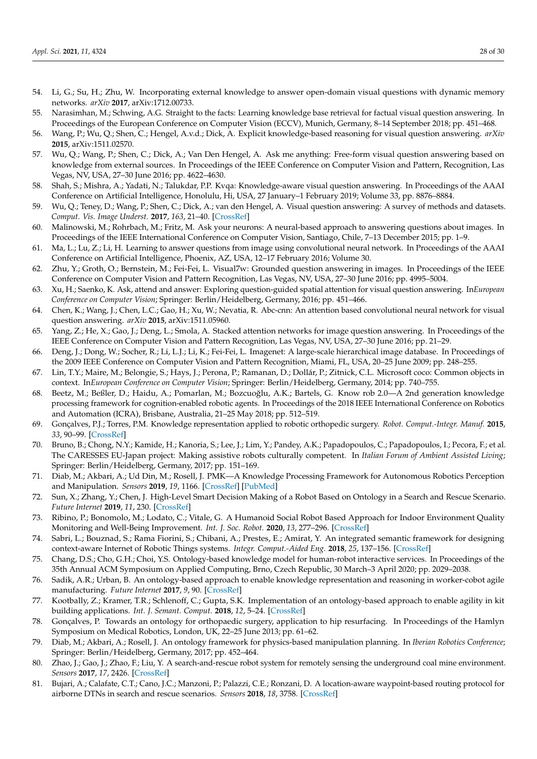- <span id="page-27-0"></span>54. Li, G.; Su, H.; Zhu, W. Incorporating external knowledge to answer open-domain visual questions with dynamic memory networks. *arXiv* **2017**, arXiv:1712.00733.
- 55. Narasimhan, M.; Schwing, A.G. Straight to the facts: Learning knowledge base retrieval for factual visual question answering. In Proceedings of the European Conference on Computer Vision (ECCV), Munich, Germany, 8–14 September 2018; pp. 451–468.
- 56. Wang, P.; Wu, Q.; Shen, C.; Hengel, A.v.d.; Dick, A. Explicit knowledge-based reasoning for visual question answering. *arXiv* **2015**, arXiv:1511.02570.
- <span id="page-27-1"></span>57. Wu, Q.; Wang, P.; Shen, C.; Dick, A.; Van Den Hengel, A. Ask me anything: Free-form visual question answering based on knowledge from external sources. In Proceedings of the IEEE Conference on Computer Vision and Pattern, Recognition, Las Vegas, NV, USA, 27–30 June 2016; pp. 4622–4630.
- <span id="page-27-2"></span>58. Shah, S.; Mishra, A.; Yadati, N.; Talukdar, P.P. Kvqa: Knowledge-aware visual question answering. In Proceedings of the AAAI Conference on Artificial Intelligence, Honolulu, Hi, USA, 27 January–1 February 2019; Volume 33, pp. 8876–8884.
- <span id="page-27-3"></span>59. Wu, Q.; Teney, D.; Wang, P.; Shen, C.; Dick, A.; van den Hengel, A. Visual question answering: A survey of methods and datasets. *Comput. Vis. Image Underst.* **2017**, *163*, 21–40. [\[CrossRef\]](http://dx.doi.org/10.1016/j.cviu.2017.05.001)
- <span id="page-27-4"></span>60. Malinowski, M.; Rohrbach, M.; Fritz, M. Ask your neurons: A neural-based approach to answering questions about images. In Proceedings of the IEEE International Conference on Computer Vision, Santiago, Chile, 7–13 December 2015; pp. 1–9.
- <span id="page-27-5"></span>61. Ma, L.; Lu, Z.; Li, H. Learning to answer questions from image using convolutional neural network. In Proceedings of the AAAI Conference on Artificial Intelligence, Phoenix, AZ, USA, 12–17 February 2016; Volume 30.
- <span id="page-27-6"></span>62. Zhu, Y.; Groth, O.; Bernstein, M.; Fei-Fei, L. Visual7w: Grounded question answering in images. In Proceedings of the IEEE Conference on Computer Vision and Pattern Recognition, Las Vegas, NV, USA, 27–30 June 2016; pp. 4995–5004.
- 63. Xu, H.; Saenko, K. Ask, attend and answer: Exploring question-guided spatial attention for visual question answering. In*European Conference on Computer Vision*; Springer: Berlin/Heidelberg, Germany, 2016; pp. 451–466.
- 64. Chen, K.; Wang, J.; Chen, L.C.; Gao, H.; Xu, W.; Nevatia, R. Abc-cnn: An attention based convolutional neural network for visual question answering. *arXiv* **2015**, arXiv:1511.05960.
- <span id="page-27-7"></span>65. Yang, Z.; He, X.; Gao, J.; Deng, L.; Smola, A. Stacked attention networks for image question answering. In Proceedings of the IEEE Conference on Computer Vision and Pattern Recognition, Las Vegas, NV, USA, 27–30 June 2016; pp. 21–29.
- <span id="page-27-8"></span>66. Deng, J.; Dong, W.; Socher, R.; Li, L.J.; Li, K.; Fei-Fei, L. Imagenet: A large-scale hierarchical image database. In Proceedings of the 2009 IEEE Conference on Computer Vision and Pattern Recognition, Miami, FL, USA, 20–25 June 2009; pp. 248–255.
- <span id="page-27-9"></span>67. Lin, T.Y.; Maire, M.; Belongie, S.; Hays, J.; Perona, P.; Ramanan, D.; Dollár, P.; Zitnick, C.L. Microsoft coco: Common objects in context. In*European Conference on Computer Vision*; Springer: Berlin/Heidelberg, Germany, 2014; pp. 740–755.
- <span id="page-27-10"></span>68. Beetz, M.; Beßler, D.; Haidu, A.; Pomarlan, M.; Bozcuoğlu, A.K.; Bartels, G. Know rob 2.0—A 2nd generation knowledge processing framework for cognition-enabled robotic agents. In Proceedings of the 2018 IEEE International Conference on Robotics and Automation (ICRA), Brisbane, Australia, 21–25 May 2018; pp. 512–519.
- <span id="page-27-11"></span>69. Gonçalves, P.J.; Torres, P.M. Knowledge representation applied to robotic orthopedic surgery. *Robot. Comput.-Integr. Manuf.* **2015**, *33*, 90–99. [\[CrossRef\]](http://dx.doi.org/10.1016/j.rcim.2014.08.014)
- <span id="page-27-12"></span>70. Bruno, B.; Chong, N.Y.; Kamide, H.; Kanoria, S.; Lee, J.; Lim, Y.; Pandey, A.K.; Papadopoulos, C.; Papadopoulos, I.; Pecora, F.; et al. The CARESSES EU-Japan project: Making assistive robots culturally competent. In *Italian Forum of Ambient Assisted Living*; Springer: Berlin/Heidelberg, Germany, 2017; pp. 151–169.
- <span id="page-27-13"></span>71. Diab, M.; Akbari, A.; Ud Din, M.; Rosell, J. PMK—A Knowledge Processing Framework for Autonomous Robotics Perception and Manipulation. *Sensors* **2019**, *19*, 1166. [\[CrossRef\]](http://dx.doi.org/10.3390/s19051166) [\[PubMed\]](http://www.ncbi.nlm.nih.gov/pubmed/30866544)
- <span id="page-27-14"></span>72. Sun, X.; Zhang, Y.; Chen, J. High-Level Smart Decision Making of a Robot Based on Ontology in a Search and Rescue Scenario. *Future Internet* **2019**, *11*, 230. [\[CrossRef\]](http://dx.doi.org/10.3390/fi11110230)
- <span id="page-27-15"></span>73. Ribino, P.; Bonomolo, M.; Lodato, C.; Vitale, G. A Humanoid Social Robot Based Approach for Indoor Environment Quality Monitoring and Well-Being Improvement. *Int. J. Soc. Robot.* **2020**, *13*, 277–296. [\[CrossRef\]](http://dx.doi.org/10.1007/s12369-020-00638-9)
- <span id="page-27-16"></span>74. Sabri, L.; Bouznad, S.; Rama Fiorini, S.; Chibani, A.; Prestes, E.; Amirat, Y. An integrated semantic framework for designing context-aware Internet of Robotic Things systems. *Integr. Comput.-Aided Eng.* **2018**, *25*, 137–156. [\[CrossRef\]](http://dx.doi.org/10.3233/ICA-170559)
- <span id="page-27-17"></span>75. Chang, D.S.; Cho, G.H.; Choi, Y.S. Ontology-based knowledge model for human-robot interactive services. In Proceedings of the 35th Annual ACM Symposium on Applied Computing, Brno, Czech Republic, 30 March–3 April 2020; pp. 2029–2038.
- <span id="page-27-18"></span>76. Sadik, A.R.; Urban, B. An ontology-based approach to enable knowledge representation and reasoning in worker-cobot agile manufacturing. *Future Internet* **2017**, *9*, 90. [\[CrossRef\]](http://dx.doi.org/10.3390/fi9040090)
- <span id="page-27-19"></span>77. Kootbally, Z.; Kramer, T.R.; Schlenoff, C.; Gupta, S.K. Implementation of an ontology-based approach to enable agility in kit building applications. *Int. J. Semant. Comput.* **2018**, *12*, 5–24. [\[CrossRef\]](http://dx.doi.org/10.1142/S1793351X18400019)
- <span id="page-27-20"></span>78. Gonçalves, P. Towards an ontology for orthopaedic surgery, application to hip resurfacing. In Proceedings of the Hamlyn Symposium on Medical Robotics, London, UK, 22–25 June 2013; pp. 61–62.
- <span id="page-27-21"></span>79. Diab, M.; Akbari, A.; Rosell, J. An ontology framework for physics-based manipulation planning. In *Iberian Robotics Conference*; Springer: Berlin/Heidelberg, Germany, 2017; pp. 452–464.
- <span id="page-27-22"></span>80. Zhao, J.; Gao, J.; Zhao, F.; Liu, Y. A search-and-rescue robot system for remotely sensing the underground coal mine environment. *Sensors* **2017**, *17*, 2426. [\[CrossRef\]](http://dx.doi.org/10.3390/s17102426)
- <span id="page-27-23"></span>81. Bujari, A.; Calafate, C.T.; Cano, J.C.; Manzoni, P.; Palazzi, C.E.; Ronzani, D. A location-aware waypoint-based routing protocol for airborne DTNs in search and rescue scenarios. *Sensors* **2018**, *18*, 3758. [\[CrossRef\]](http://dx.doi.org/10.3390/s18113758)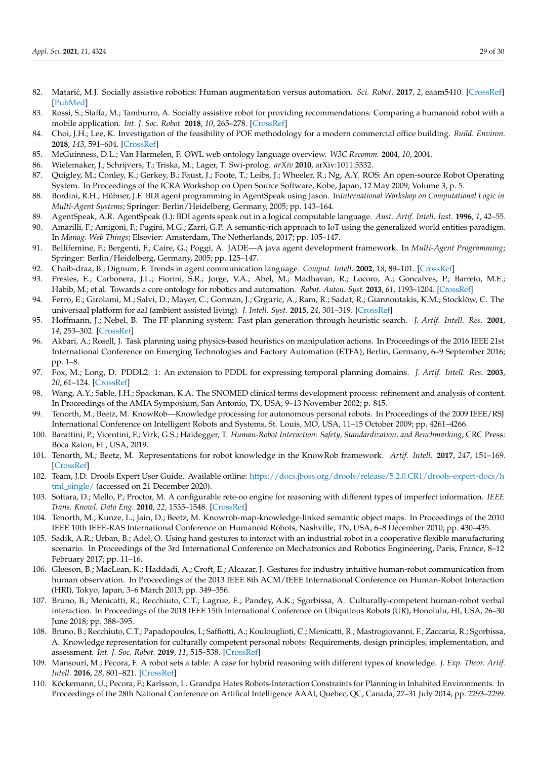- <span id="page-28-0"></span>82. Matarić, M.J. Socially assistive robotics: Human augmentation versus automation. *Sci. Robot.* 2017, 2, eaam5410. [\[CrossRef\]](http://dx.doi.org/10.1126/scirobotics.aam5410) [\[PubMed\]](http://www.ncbi.nlm.nih.gov/pubmed/33157869)
- <span id="page-28-1"></span>83. Rossi, S.; Staffa, M.; Tamburro, A. Socially assistive robot for providing recommendations: Comparing a humanoid robot with a mobile application. *Int. J. Soc. Robot.* **2018**, *10*, 265–278. [\[CrossRef\]](http://dx.doi.org/10.1007/s12369-018-0469-4)
- <span id="page-28-2"></span>84. Choi, J.H.; Lee, K. Investigation of the feasibility of POE methodology for a modern commercial office building. *Build. Environ.* **2018**, *143*, 591–604. [\[CrossRef\]](http://dx.doi.org/10.1016/j.buildenv.2018.07.049)
- <span id="page-28-3"></span>85. McGuinness, D.L.; Van Harmelen, F. OWL web ontology language overview. *W3C Recomm.* **2004**, *10*, 2004.
- <span id="page-28-4"></span>86. Wielemaker, J.; Schrijvers, T.; Triska, M.; Lager, T. Swi-prolog. *arXiv* **2010**, arXiv:1011.5332.
- <span id="page-28-5"></span>87. Quigley, M.; Conley, K.; Gerkey, B.; Faust, J.; Foote, T.; Leibs, J.; Wheeler, R.; Ng, A.Y. ROS: An open-source Robot Operating System. In Proceedings of the ICRA Workshop on Open Source Software, Kobe, Japan, 12 May 2009; Volume 3, p. 5.
- <span id="page-28-6"></span>88. Bordini, R.H.; Hübner, J.F. BDI agent programming in AgentSpeak using Jason. In*International Workshop on Computational Logic in Multi-Agent Systems*; Springer: Berlin/Heidelberg, Germany, 2005; pp. 143–164.
- <span id="page-28-8"></span><span id="page-28-7"></span>89. AgentSpeak, A.R. AgentSpeak (L): BDI agents speak out in a logical computable language. *Aust. Artif. Intell. Inst.* **1996**, *1*, 42–55. 90. Amarilli, F.; Amigoni, F.; Fugini, M.G.; Zarri, G.P. A semantic-rich approach to IoT using the generalized world entities paradigm.
- <span id="page-28-9"></span>In *Manag. Web Things*; Elsevier: Amsterdam, The Netherlands, 2017; pp. 105–147. 91. Bellifemine, F.; Bergenti, F.; Caire, G.; Poggi, A. JADE—A java agent development framework. In *Multi-Agent Programming*;
- <span id="page-28-10"></span>Springer: Berlin/Heidelberg, Germany, 2005; pp. 125–147. 92. Chaib-draa, B.; Dignum, F. Trends in agent communication language. *Comput. Intell.* **2002**, *18*, 89–101. [\[CrossRef\]](http://dx.doi.org/10.1111/1467-8640.00184)
- <span id="page-28-11"></span>93. Prestes, E.; Carbonera, J.L.; Fiorini, S.R.; Jorge, V.A.; Abel, M.; Madhavan, R.; Locoro, A.; Goncalves, P.; Barreto, M.E.; Habib, M.; et al. Towards a core ontology for robotics and automation. *Robot. Auton. Syst.* **2013**, *61*, 1193–1204. [\[CrossRef\]](http://dx.doi.org/10.1016/j.robot.2013.04.005)
- <span id="page-28-12"></span>94. Ferro, E.; Girolami, M.; Salvi, D.; Mayer, C.; Gorman, J.; Grguric, A.; Ram, R.; Sadat, R.; Giannoutakis, K.M.; Stocklöw, C. The universaal platform for aal (ambient assisted living). *J. Intell. Syst.* **2015**, *24*, 301–319. [\[CrossRef\]](http://dx.doi.org/10.1515/jisys-2014-0127)
- <span id="page-28-13"></span>95. Hoffmann, J.; Nebel, B. The FF planning system: Fast plan generation through heuristic search. *J. Artif. Intell. Res.* **2001**, *14*, 253–302. [\[CrossRef\]](http://dx.doi.org/10.1613/jair.855)
- <span id="page-28-14"></span>96. Akbari, A.; Rosell, J. Task planning using physics-based heuristics on manipulation actions. In Proceedings of the 2016 IEEE 21st International Conference on Emerging Technologies and Factory Automation (ETFA), Berlin, Germany, 6–9 September 2016; pp. 1–8.
- <span id="page-28-15"></span>97. Fox, M.; Long, D. PDDL2. 1: An extension to PDDL for expressing temporal planning domains. *J. Artif. Intell. Res.* **2003**, *20*, 61–124. [\[CrossRef\]](http://dx.doi.org/10.1613/jair.1129)
- <span id="page-28-16"></span>98. Wang, A.Y.; Sable, J.H.; Spackman, K.A. The SNOMED clinical terms development process: refinement and analysis of content. In Proceedings of the AMIA Symposium, San Antonio, TX, USA, 9–13 November 2002; p. 845.
- <span id="page-28-17"></span>99. Tenorth, M.; Beetz, M. KnowRob—Knowledge processing for autonomous personal robots. In Proceedings of the 2009 IEEE/RSJ International Conference on Intelligent Robots and Systems, St. Louis, MO, USA, 11–15 October 2009; pp. 4261–4266.
- <span id="page-28-18"></span>100. Barattini, P.; Vicentini, F.; Virk, G.S.; Haidegger, T. *Human-Robot Interaction: Safety, Standardization, and Benchmarking*; CRC Press: Boca Raton, FL, USA, 2019.
- <span id="page-28-19"></span>101. Tenorth, M.; Beetz, M. Representations for robot knowledge in the KnowRob framework. *Artif. Intell.* **2017**, *247*, 151–169. [\[CrossRef\]](http://dx.doi.org/10.1016/j.artint.2015.05.010)
- <span id="page-28-20"></span>102. Team, J.D. Drools Expert User Guide. Available online: [https://docs.jboss.org/drools/release/5.2.0.CR1/drools-expert-docs/h](https://docs.jboss.org/drools/release/5.2.0.CR1/drools-expert-docs/html_single/) [tml\\_single/](https://docs.jboss.org/drools/release/5.2.0.CR1/drools-expert-docs/html_single/) (accessed on 21 December 2020).
- <span id="page-28-21"></span>103. Sottara, D.; Mello, P.; Proctor, M. A configurable rete-oo engine for reasoning with different types of imperfect information. *IEEE Trans. Knowl. Data Eng.* **2010**, *22*, 1535–1548. [\[CrossRef\]](http://dx.doi.org/10.1109/TKDE.2010.125)
- <span id="page-28-22"></span>104. Tenorth, M.; Kunze, L.; Jain, D.; Beetz, M. Knowrob-map-knowledge-linked semantic object maps. In Proceedings of the 2010 IEEE 10th IEEE-RAS International Conference on Humanoid Robots, Nashville, TN, USA, 6–8 December 2010; pp. 430–435.
- <span id="page-28-23"></span>105. Sadik, A.R.; Urban, B.; Adel, O. Using hand gestures to interact with an industrial robot in a cooperative flexible manufacturing scenario. In Proceedings of the 3rd International Conference on Mechatronics and Robotics Engineering, Paris, France, 8–12 February 2017; pp. 11–16.
- <span id="page-28-24"></span>106. Gleeson, B.; MacLean, K.; Haddadi, A.; Croft, E.; Alcazar, J. Gestures for industry intuitive human-robot communication from human observation. In Proceedings of the 2013 IEEE 8th ACM/IEEE International Conference on Human-Robot Interaction (HRI), Tokyo, Japan, 3–6 March 2013; pp. 349–356.
- <span id="page-28-25"></span>107. Bruno, B.; Menicatti, R.; Recchiuto, C.T.; Lagrue, E.; Pandey, A.K.; Sgorbissa, A. Culturally-competent human-robot verbal interaction. In Proceedings of the 2018 IEEE 15th International Conference on Ubiquitous Robots (UR), Honolulu, HI, USA, 26–30 June 2018; pp. 388–395.
- <span id="page-28-26"></span>108. Bruno, B.; Recchiuto, C.T.; Papadopoulos, I.; Saffiotti, A.; Koulouglioti, C.; Menicatti, R.; Mastrogiovanni, F.; Zaccaria, R.; Sgorbissa, A. Knowledge representation for culturally competent personal robots: Requirements, design principles, implementation, and assessment. *Int. J. Soc. Robot.* **2019**, *11*, 515–538. [\[CrossRef\]](http://dx.doi.org/10.1007/s12369-019-00519-w)
- <span id="page-28-27"></span>109. Mansouri, M.; Pecora, F. A robot sets a table: A case for hybrid reasoning with different types of knowledge. *J. Exp. Theor. Artif. Intell.* **2016**, *28*, 801–821. [\[CrossRef\]](http://dx.doi.org/10.1080/0952813X.2015.1132267)
- <span id="page-28-28"></span>110. Köckemann, U.; Pecora, F.; Karlsson, L. Grandpa Hates Robots-Interaction Constraints for Planning in Inhabited Environments. In Proceedings of the 28th National Conference on Artifical Intelligence AAAI, Quebec, QC, Canada, 27–31 July 2014; pp. 2293–2299.